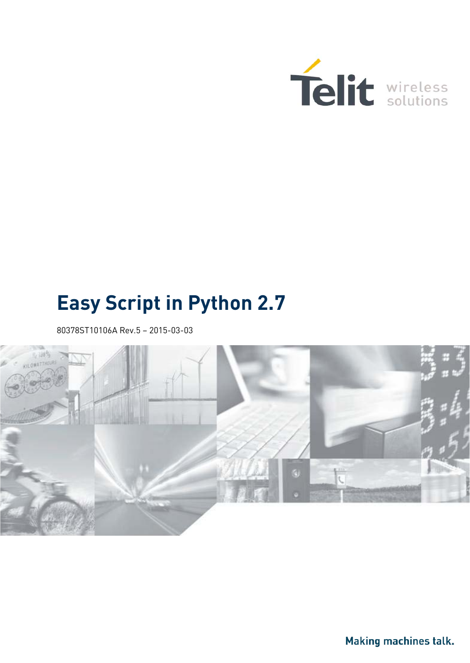

# **Easy Script in Python 2.7**

<span id="page-0-0"></span>80378ST10106A Rev.5 – 2015-03-03



Making machines talk.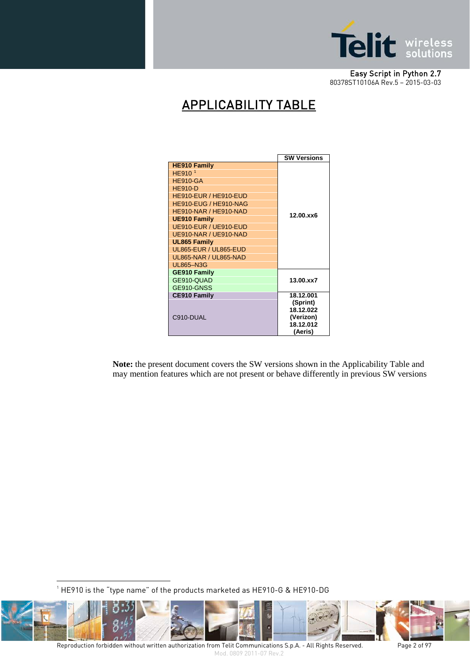

# APPLICABILITY TABLE

|                              | <b>SW Versions</b> |  |
|------------------------------|--------------------|--|
| <b>HE910 Family</b>          |                    |  |
| HE910 <sup>1</sup>           |                    |  |
| <b>HE910-GA</b>              |                    |  |
| <b>HE910-D</b>               |                    |  |
| HE910-EUR / HE910-EUD        |                    |  |
| HE910-EUG / HE910-NAG        |                    |  |
| HE910-NAR / HE910-NAD        | 12.00.xx6          |  |
| <b>UE910 Family</b>          |                    |  |
| UE910-EUR / UE910-EUD        |                    |  |
| UE910-NAR / UE910-NAD        |                    |  |
| <b>UL865 Family</b>          |                    |  |
| <b>UL865-EUR / UL865-EUD</b> |                    |  |
| <b>UL865-NAR / UL865-NAD</b> |                    |  |
| <b>UL865-N3G</b>             |                    |  |
| <b>GE910 Family</b>          |                    |  |
| GE910-QUAD                   | 13.00.xx7          |  |
| GE910-GNSS                   |                    |  |
| <b>CE910 Family</b>          | 18.12.001          |  |
|                              | (Sprint)           |  |
|                              | 18.12.022          |  |
| C910-DUAL                    | (Verizon)          |  |
|                              | 18.12.012          |  |
|                              | (Aeris)            |  |

**Note:** the present document covers the SW versions shown in the Applicability Table and may mention features which are not present or behave differently in previous SW versions

 $^{\rm 1}$  HE910 is the "type name" of the products marketed as HE910-G & HE910-DG

<u>.</u>

<span id="page-1-0"></span>

Reproduction forbidden without written authorization from Telit Communications S.p.A. - All Rights Reserved. Page 2 of 97 Mod. 0809 2011-07 Rev.2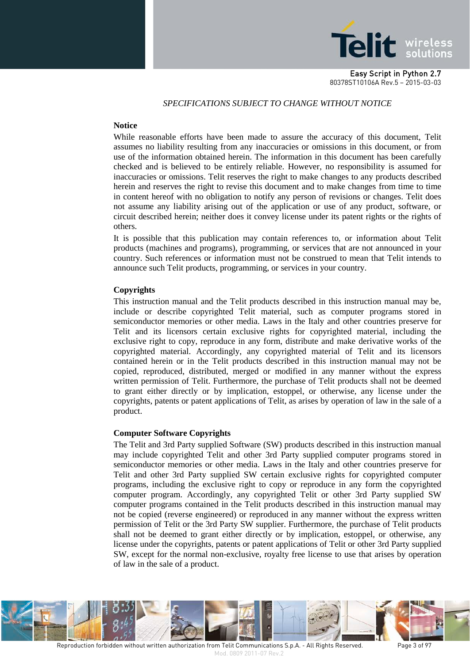

#### *SPECIFICATIONS SUBJECT TO CHANGE WITHOUT NOTICE*

#### **Notice**

While reasonable efforts have been made to assure the accuracy of this document, Telit assumes no liability resulting from any inaccuracies or omissions in this document, or from use of the information obtained herein. The information in this document has been carefully checked and is believed to be entirely reliable. However, no responsibility is assumed for inaccuracies or omissions. Telit reserves the right to make changes to any products described herein and reserves the right to revise this document and to make changes from time to time in content hereof with no obligation to notify any person of revisions or changes. Telit does not assume any liability arising out of the application or use of any product, software, or circuit described herein; neither does it convey license under its patent rights or the rights of others.

It is possible that this publication may contain references to, or information about Telit products (machines and programs), programming, or services that are not announced in your country. Such references or information must not be construed to mean that Telit intends to announce such Telit products, programming, or services in your country.

#### **Copyrights**

This instruction manual and the Telit products described in this instruction manual may be, include or describe copyrighted Telit material, such as computer programs stored in semiconductor memories or other media. Laws in the Italy and other countries preserve for Telit and its licensors certain exclusive rights for copyrighted material, including the exclusive right to copy, reproduce in any form, distribute and make derivative works of the copyrighted material. Accordingly, any copyrighted material of Telit and its licensors contained herein or in the Telit products described in this instruction manual may not be copied, reproduced, distributed, merged or modified in any manner without the express written permission of Telit. Furthermore, the purchase of Telit products shall not be deemed to grant either directly or by implication, estoppel, or otherwise, any license under the copyrights, patents or patent applications of Telit, as arises by operation of law in the sale of a product.

#### **Computer Software Copyrights**

The Telit and 3rd Party supplied Software (SW) products described in this instruction manual may include copyrighted Telit and other 3rd Party supplied computer programs stored in semiconductor memories or other media. Laws in the Italy and other countries preserve for Telit and other 3rd Party supplied SW certain exclusive rights for copyrighted computer programs, including the exclusive right to copy or reproduce in any form the copyrighted computer program. Accordingly, any copyrighted Telit or other 3rd Party supplied SW computer programs contained in the Telit products described in this instruction manual may not be copied (reverse engineered) or reproduced in any manner without the express written permission of Telit or the 3rd Party SW supplier. Furthermore, the purchase of Telit products shall not be deemed to grant either directly or by implication, estoppel, or otherwise, any license under the copyrights, patents or patent applications of Telit or other 3rd Party supplied SW, except for the normal non-exclusive, royalty free license to use that arises by operation of law in the sale of a product.

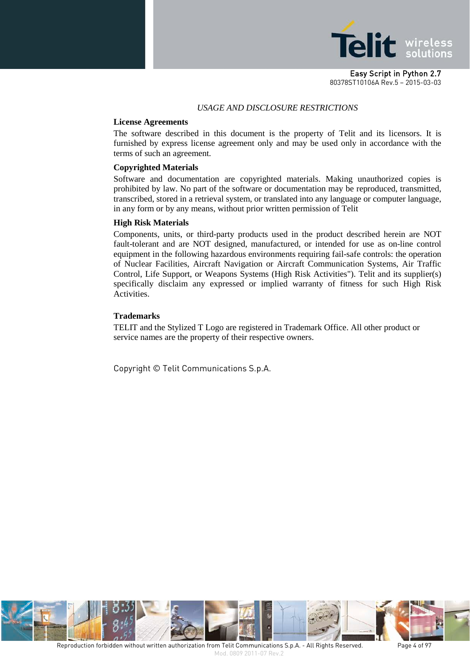

#### *USAGE AND DISCLOSURE RESTRICTIONS*

#### **License Agreements**

The software described in this document is the property of Telit and its licensors. It is furnished by express license agreement only and may be used only in accordance with the terms of such an agreement.

#### **Copyrighted Materials**

Software and documentation are copyrighted materials. Making unauthorized copies is prohibited by law. No part of the software or documentation may be reproduced, transmitted, transcribed, stored in a retrieval system, or translated into any language or computer language, in any form or by any means, without prior written permission of Telit

#### **High Risk Materials**

Components, units, or third-party products used in the product described herein are NOT fault-tolerant and are NOT designed, manufactured, or intended for use as on-line control equipment in the following hazardous environments requiring fail-safe controls: the operation of Nuclear Facilities, Aircraft Navigation or Aircraft Communication Systems, Air Traffic Control, Life Support, or Weapons Systems (High Risk Activities"). Telit and its supplier(s) specifically disclaim any expressed or implied warranty of fitness for such High Risk Activities.

#### **Trademarks**

TELIT and the Stylized T Logo are registered in Trademark Office. All other product or service names are the property of their respective owners.

Copyright © Telit Communications S.p.A.

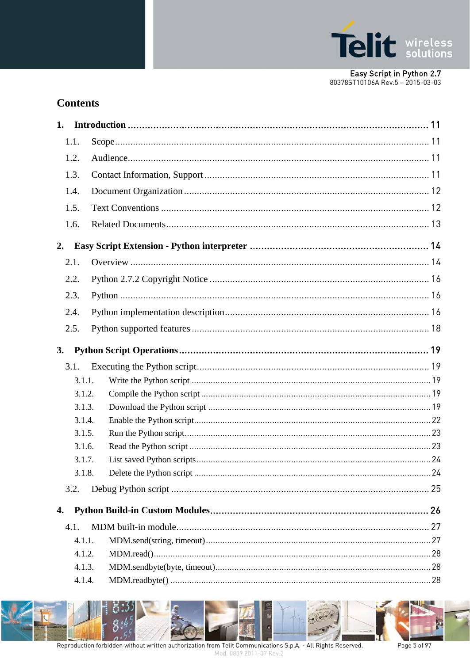

# **Contents**

<span id="page-4-0"></span>

| 1. |        |  |
|----|--------|--|
|    | 1.1.   |  |
|    | 1.2.   |  |
|    | 1.3.   |  |
|    | 1.4.   |  |
|    | 1.5.   |  |
|    | 1.6.   |  |
|    |        |  |
| 2. |        |  |
|    | 2.1.   |  |
|    | 2.2.   |  |
|    | 2.3.   |  |
|    | 2.4.   |  |
|    | 2.5.   |  |
|    |        |  |
| 3. |        |  |
|    | 3.1.   |  |
|    | 3.1.1. |  |
|    | 3.1.2. |  |
|    | 3.1.3. |  |
|    | 3.1.4. |  |
|    | 3.1.5. |  |
|    | 3.1.6. |  |
|    | 3.1.7. |  |
|    | 3.1.8. |  |
|    | 3.2.   |  |
| 4. |        |  |
|    |        |  |
|    | 4.1.   |  |
|    | 4.1.1. |  |
|    | 4.1.2. |  |
|    | 4.1.3. |  |
|    | 4.1.4. |  |

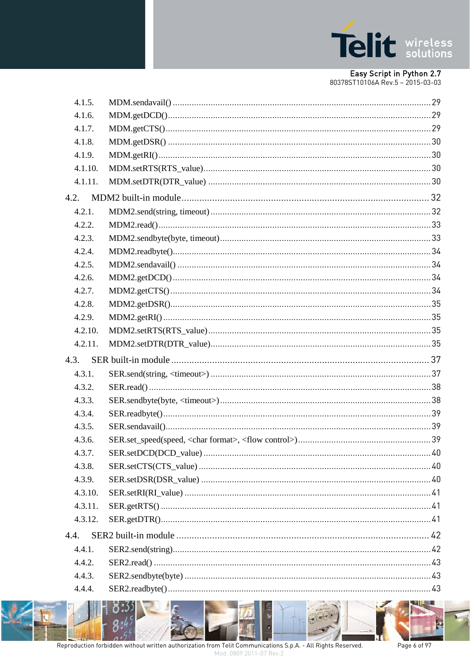

| 4.1.5.  |  |
|---------|--|
| 4.1.6.  |  |
| 4.1.7.  |  |
| 4.1.8.  |  |
| 4.1.9.  |  |
| 4.1.10. |  |
| 4.1.11. |  |
| 4.2.    |  |
| 4.2.1.  |  |
| 4.2.2.  |  |
| 4.2.3.  |  |
| 4.2.4.  |  |
| 4.2.5.  |  |
| 4.2.6.  |  |
| 4.2.7.  |  |
| 4.2.8.  |  |
| 4.2.9.  |  |
| 4.2.10. |  |
|         |  |
| 4.2.11. |  |
| 4.3.    |  |
| 4.3.1.  |  |
| 4.3.2.  |  |
| 4.3.3.  |  |
| 4.3.4.  |  |
| 4.3.5.  |  |
| 4.3.6.  |  |
| 4.3.7.  |  |
| 4.3.8.  |  |
| 4.3.9.  |  |
| 4.3.10. |  |
| 4.3.11. |  |
| 4.3.12. |  |
| 4.4.    |  |
| 4.4.1.  |  |
| 4.4.2.  |  |
| 4.4.3.  |  |



Page 6 of 97

P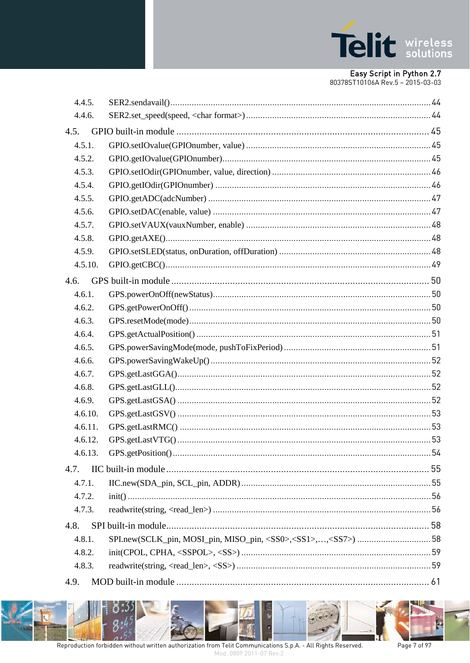

|      | 4.4.5.  |  |
|------|---------|--|
|      | 4.4.6.  |  |
| 4.5. |         |  |
|      | 4.5.1.  |  |
|      | 4.5.2.  |  |
|      | 4.5.3.  |  |
|      | 4.5.4.  |  |
|      | 4.5.5.  |  |
|      | 4.5.6.  |  |
|      | 4.5.7.  |  |
|      | 4.5.8.  |  |
|      | 4.5.9.  |  |
|      | 4.5.10. |  |
| 4.6. |         |  |
|      | 4.6.1.  |  |
|      | 4.6.2.  |  |
|      | 4.6.3.  |  |
|      | 4.6.4.  |  |
|      | 4.6.5.  |  |
|      | 4.6.6.  |  |
|      | 4.6.7.  |  |
|      | 4.6.8.  |  |
|      | 4.6.9.  |  |
|      | 4.6.10. |  |
|      | 4.6.11. |  |
|      | 4.6.12. |  |
|      | 4.6.13. |  |
| 4.7. |         |  |
|      | 4.7.1.  |  |
|      | 4.7.2.  |  |
|      | 4.7.3.  |  |
| 4.8. |         |  |
|      | 4.8.1.  |  |
|      | 4.8.2.  |  |
|      | 4.8.3.  |  |
| 4.9. |         |  |
|      |         |  |

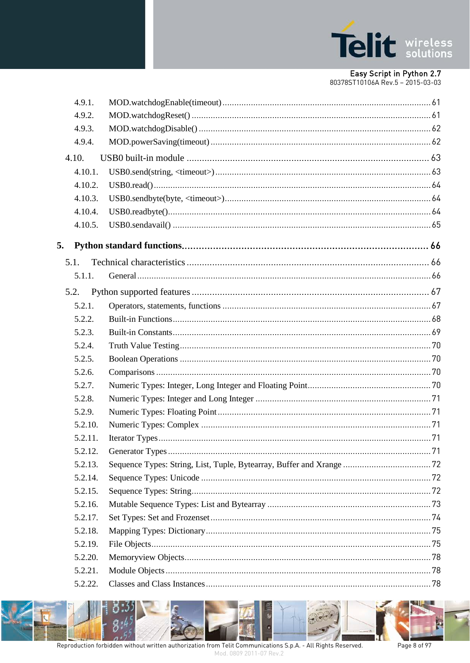

# Easy Script in Python 2.7

| 80378ST10106A Rev.5 - 2015-03-03 |  |  |
|----------------------------------|--|--|

| 4.9.1.  |  |
|---------|--|
| 4.9.2.  |  |
| 4.9.3.  |  |
| 4.9.4.  |  |
| 4.10.   |  |
| 4.10.1. |  |
| 4.10.2. |  |
| 4.10.3. |  |
| 4.10.4. |  |
| 4.10.5. |  |
| 5.      |  |
| 5.1.    |  |
| 5.1.1.  |  |
| 5.2.    |  |
| 5.2.1.  |  |
|         |  |
| 5.2.2.  |  |
| 5.2.3.  |  |
| 5.2.4.  |  |
| 5.2.5.  |  |
| 5.2.6.  |  |
| 5.2.7.  |  |
| 5.2.8.  |  |
| 5.2.9.  |  |
| 5.2.10. |  |
| 5.2.11. |  |
| 5.2.12. |  |
| 5.2.13. |  |
| 5.2.14. |  |
| 5.2.15. |  |
| 5.2.16. |  |
| 5.2.17. |  |
| 5.2.18. |  |
| 5.2.19. |  |
| 5.2.20. |  |
| 5.2.21. |  |
| 5.2.22. |  |



Þ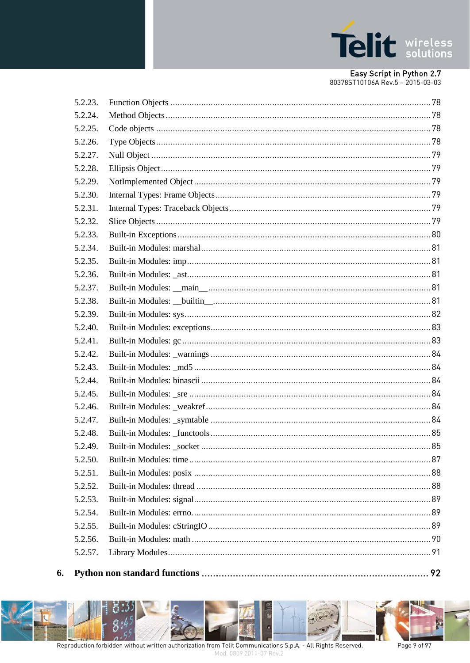

| 5.2.23. |  |
|---------|--|
| 5.2.24. |  |
| 5.2.25. |  |
| 5.2.26. |  |
| 5.2.27. |  |
| 5.2.28. |  |
| 5.2.29. |  |
| 5.2.30. |  |
| 5.2.31. |  |
| 5.2.32. |  |
| 5.2.33. |  |
| 5.2.34. |  |
| 5.2.35. |  |
| 5.2.36. |  |
| 5.2.37. |  |
| 5.2.38. |  |
| 5.2.39. |  |
| 5.2.40. |  |
| 5.2.41. |  |
| 5.2.42. |  |
| 5.2.43. |  |
| 5.2.44. |  |
| 5.2.45. |  |
| 5.2.46. |  |
| 5.2.47. |  |
| 5.2.48. |  |
| 5.2.49. |  |
| 5.2.50. |  |
| 5.2.51. |  |
| 5.2.52. |  |
| 5.2.53. |  |
| 5.2.54. |  |
| 5.2.55. |  |
| 5.2.56. |  |
| 5.2.57. |  |
|         |  |



6.

Page 9 of 97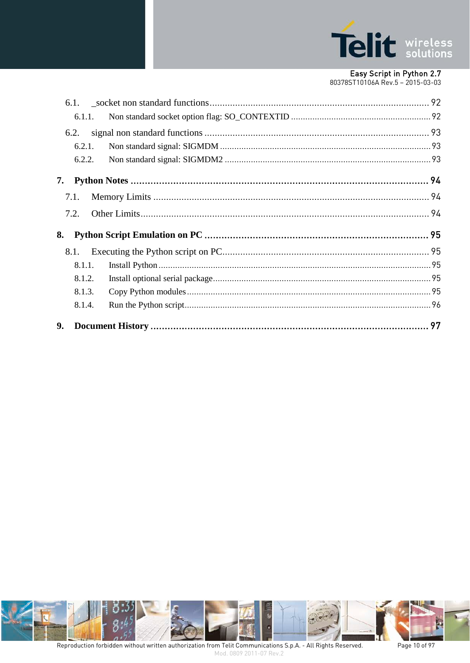

|    | 6.1.1. |  |
|----|--------|--|
|    | 6.2.   |  |
|    | 6.2.1. |  |
|    | 6.2.2. |  |
| 7. |        |  |
|    | 7.1.   |  |
|    | 7.2.   |  |
| 8. |        |  |
|    | 8.1.   |  |
|    | 8.1.1. |  |
|    | 8.1.2. |  |
|    | 8.1.3. |  |
|    | 8.1.4. |  |
| 9. |        |  |



Page 10 of 97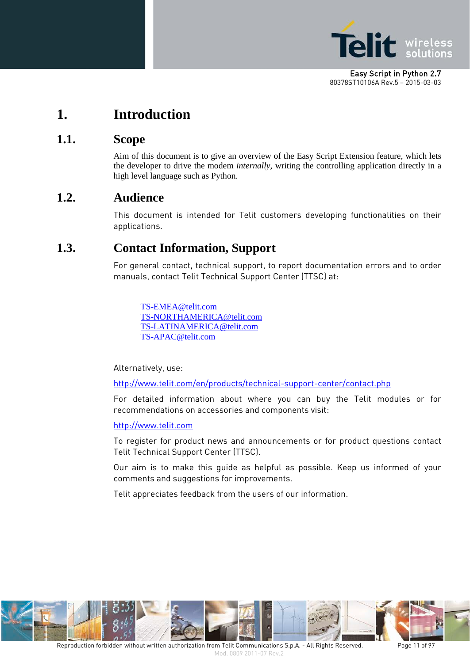

# <span id="page-10-0"></span>**1. Introduction**

# <span id="page-10-1"></span>**1.1. Scope**

Aim of this document is to give an overview of the Easy Script Extension feature, which lets the developer to drive the modem *internally*, writing the controlling application directly in a high level language such as Python.

# <span id="page-10-2"></span>**1.2. Audience**

This document is intended for Telit customers developing functionalities on their applications.

# <span id="page-10-3"></span>**1.3. Contact Information, Support**

For general contact, technical support, to report documentation errors and to order manuals, contact Telit Technical Support Center (TTSC) at:

[TS-EMEA@telit.com](mailto:TS-EMEA@telit.com) [TS-NORTHAMERICA@telit.com](mailto:TS-NORTHAMERICA@telit.com) [TS-LATINAMERICA@telit.com](mailto:TS-LATINAMERICA@telit.com) [TS-APAC@telit.com](mailto:TS-APAC@telit.com)

Alternatively, use:

<http://www.telit.com/en/products/technical-support-center/contact.php>

For detailed information about where you can buy the Telit modules or for recommendations on accessories and components visit:

[http://www.telit.com](http://www.telit.com/)

To register for product news and announcements or for product questions contact Telit Technical Support Center (TTSC).

Our aim is to make this guide as helpful as possible. Keep us informed of your comments and suggestions for improvements.

Telit appreciates feedback from the users of our information.

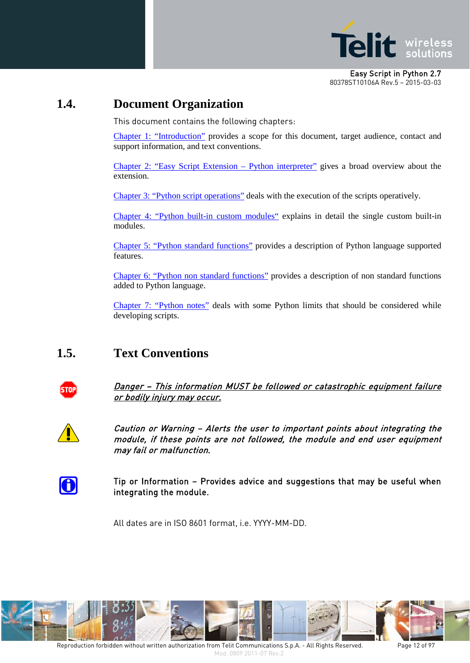

# <span id="page-11-0"></span>**1.4. Document Organization**

This document contains the following chapters:

[Chapter 1: "Introduction"](#page-4-0) provides a scope for this document, target audience, contact and support information, and text conventions.

[Chapter 2: "Easy Script Extension –](#page-13-0) Python interpreter" gives a broad overview about the extension.

[Chapter 3: "Python script operations"](#page-18-0) deals with the execution of the scripts operatively.

[Chapter 4: "Python built-in custom modules"](#page-25-0) explains in detail the single custom built-in modules.

[Chapter 5: "Python standard functions"](#page-65-0) provides a description of Python language supported features.

[Chapter 6: "Python non standard functions"](#page-91-0) provides a description of non standard functions added to Python language.

[Chapter 7: "Python notes"](#page-93-0) deals with some Python limits that should be considered while developing scripts.

# <span id="page-11-1"></span>**1.5. Text Conventions**



Danger – This information MUST be followed or catastrophic equipment failure or bodily injury may occur.



Caution or Warning – Alerts the user to important points about integrating the module, if these points are not followed, the module and end user equipment may fail or malfunction.



Tip or Information – Provides advice and suggestions that may be useful when integrating the module.

All dates are in ISO 8601 format, i.e. YYYY-MM-DD.

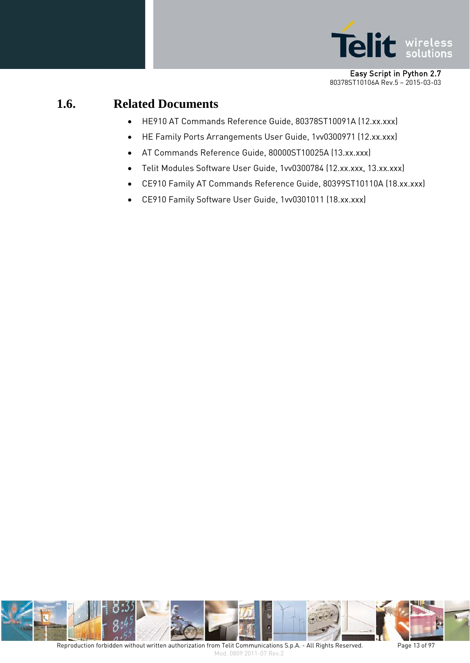

# <span id="page-12-0"></span>**1.6. Related Documents**

- HE910 AT Commands Reference Guide, 80378ST10091A (12.xx.xxx)
- HE Family Ports Arrangements User Guide, 1vv0300971 (12.xx.xxx)
- AT Commands Reference Guide, 80000ST10025A (13.xx.xxx)
- Telit Modules Software User Guide, 1vv0300784 (12.xx.xxx, 13.xx.xxx)
- CE910 Family AT Commands Reference Guide, 80399ST10110A (18.xx.xxx)
- CE910 Family Software User Guide, 1vv0301011 (18.xx.xxx)

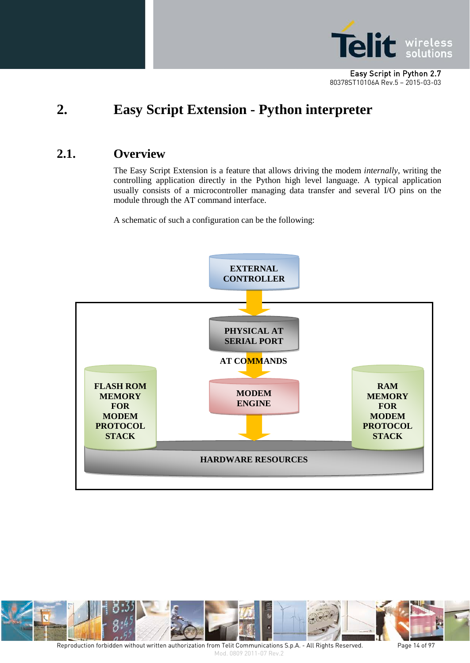

# <span id="page-13-0"></span>**2. Easy Script Extension - Python interpreter**

# <span id="page-13-1"></span>**2.1. Overview**

The Easy Script Extension is a feature that allows driving the modem *internally*, writing the controlling application directly in the Python high level language. A typical application usually consists of a microcontroller managing data transfer and several I/O pins on the module through the AT command interface.

A schematic of such a configuration can be the following:





Reproduction forbidden without written authorization from Telit Communications S.p.A. - All Rights Reserved. Page 14 of 97 Mod. 0809 2011-07 Rev.2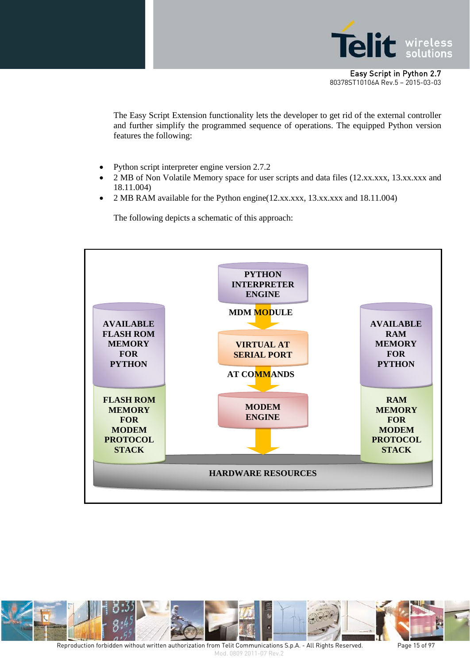

The Easy Script Extension functionality lets the developer to get rid of the external controller and further simplify the programmed sequence of operations. The equipped Python version features the following:

- Python script interpreter engine version 2.7.2
- 2 MB of Non Volatile Memory space for user scripts and data files (12.xx.xxx, 13.xx.xxx and 18.11.004)
- 2 MB RAM available for the Python engine(12.xx.xxx, 13.xx.xxx and 18.11.004)

The following depicts a schematic of this approach:





Reproduction forbidden without written authorization from Telit Communications S.p.A. - All Rights Reserved. Page 15 of 97 Mod. 0809 2011-07 Rev.2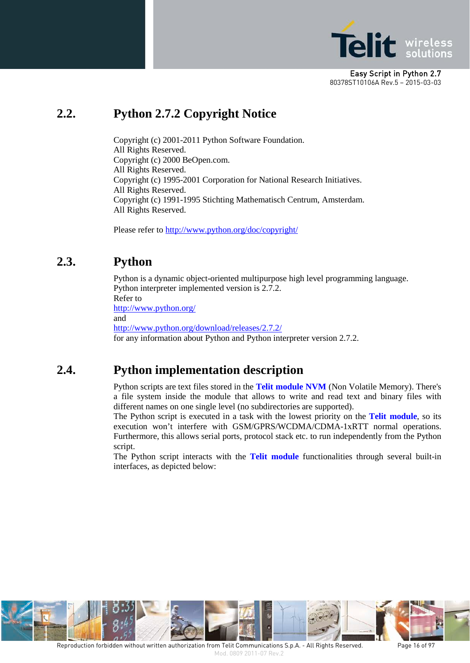

# <span id="page-15-0"></span>**2.2. Python 2.7.2 Copyright Notice**

Copyright (c) 2001-2011 Python Software Foundation. All Rights Reserved. Copyright (c) 2000 BeOpen.com. All Rights Reserved. Copyright (c) 1995-2001 Corporation for National Research Initiatives. All Rights Reserved. Copyright (c) 1991-1995 Stichting Mathematisch Centrum, Amsterdam. All Rights Reserved.

Please refer t[o http://www.python.org/doc/copyright/](http://www.python.org/doc/copyright/)

# <span id="page-15-1"></span>**2.3. Python**

Python is a dynamic object-oriented multipurpose high level programming language. Python interpreter implemented version is 2.7.2. Refer to <http://www.python.org/> and <http://www.python.org/download/releases/2.7.2/> for any information about Python and Python interpreter version 2.7.2.

# <span id="page-15-2"></span>**2.4. Python implementation description**

Python scripts are text files stored in the **Telit module NVM** (Non Volatile Memory). There's a file system inside the module that allows to write and read text and binary files with different names on one single level (no subdirectories are supported).

The Python script is executed in a task with the lowest priority on the **Telit module**, so its execution won't interfere with GSM/GPRS/WCDMA/CDMA-1xRTT normal operations. Furthermore, this allows serial ports, protocol stack etc. to run independently from the Python script.

The Python script interacts with the **Telit module** functionalities through several built-in interfaces, as depicted below:

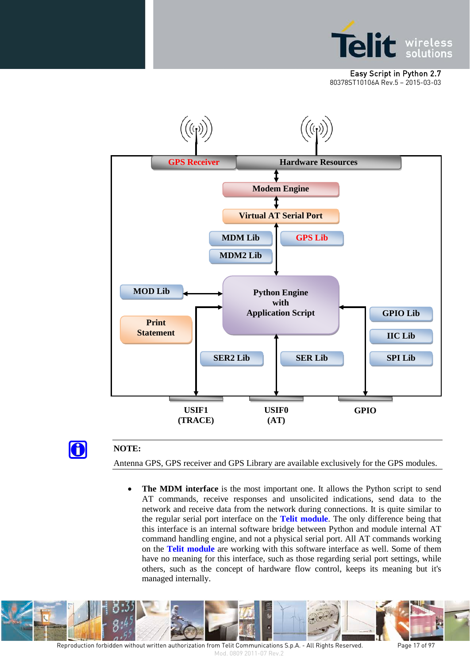





#### **NOTE:**

Antenna GPS, GPS receiver and GPS Library are available exclusively for the GPS modules.

• **The MDM interface** is the most important one. It allows the Python script to send AT commands, receive responses and unsolicited indications, send data to the network and receive data from the network during connections. It is quite similar to the regular serial port interface on the **Telit module**. The only difference being that this interface is an internal software bridge between Python and module internal AT command handling engine, and not a physical serial port. All AT commands working on the **Telit module** are working with this software interface as well. Some of them have no meaning for this interface, such as those regarding serial port settings, while others, such as the concept of hardware flow control, keeps its meaning but it's managed internally.



Reproduction forbidden without written authorization from Telit Communications S.p.A. - All Rights Reserved. Page 17 of 97 Mod. 0809 2011-07 Rev.2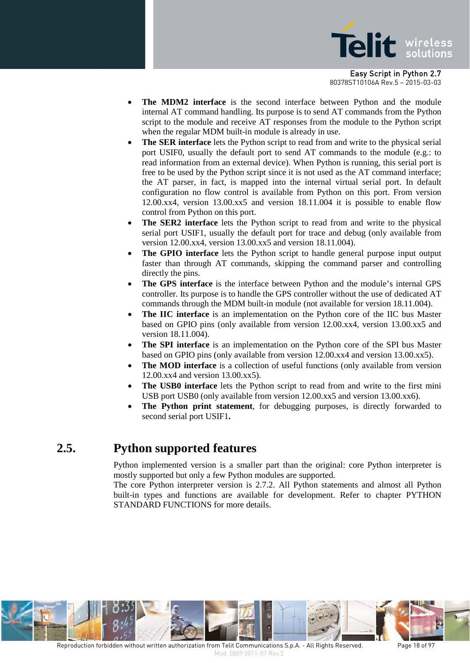

- **The MDM2 interface** is the second interface between Python and the module internal AT command handling. Its purpose is to send AT commands from the Python script to the module and receive AT responses from the module to the Python script when the regular MDM built-in module is already in use.
- **The SER interface** lets the Python script to read from and write to the physical serial port USIF0, usually the default port to send AT commands to the module (e.g.: to read information from an external device). When Python is running, this serial port is free to be used by the Python script since it is not used as the AT command interface; the AT parser, in fact, is mapped into the internal virtual serial port. In default configuration no flow control is available from Python on this port. From version 12.00.xx4, version 13.00.xx5 and version 18.11.004 it is possible to enable flow control from Python on this port.
- **The SER2 interface** lets the Python script to read from and write to the physical serial port USIF1, usually the default port for trace and debug (only available from version 12.00.xx4, version 13.00.xx5 and version 18.11.004).
- The GPIO interface lets the Python script to handle general purpose input output faster than through AT commands, skipping the command parser and controlling directly the pins.
- **The GPS interface** is the interface between Python and the module's internal GPS controller. Its purpose is to handle the GPS controller without the use of dedicated AT commands through the MDM built-in module (not available for version 18.11.004).
- **The IIC interface** is an implementation on the Python core of the IIC bus Master based on GPIO pins (only available from version 12.00.xx4, version 13.00.xx5 and version 18.11.004).
- **The SPI interface** is an implementation on the Python core of the SPI bus Master based on GPIO pins (only available from version 12.00.xx4 and version 13.00.xx5).
- The MOD interface is a collection of useful functions (only available from version 12.00.xx4 and version 13.00.xx5).
- The USB0 interface lets the Python script to read from and write to the first mini USB port USB0 (only available from version 12.00.xx5 and version 13.00.xx6).
- **The Python print statement**, for debugging purposes, is directly forwarded to second serial port USIF1**.**

# <span id="page-17-0"></span>**2.5. Python supported features**

Python implemented version is a smaller part than the original: core Python interpreter is mostly supported but only a few Python modules are supported.

The core Python interpreter version is 2.7.2. All Python statements and almost all Python built-in types and functions are available for development. Refer to chapter PYTHON STANDARD FUNCTIONS for more details.

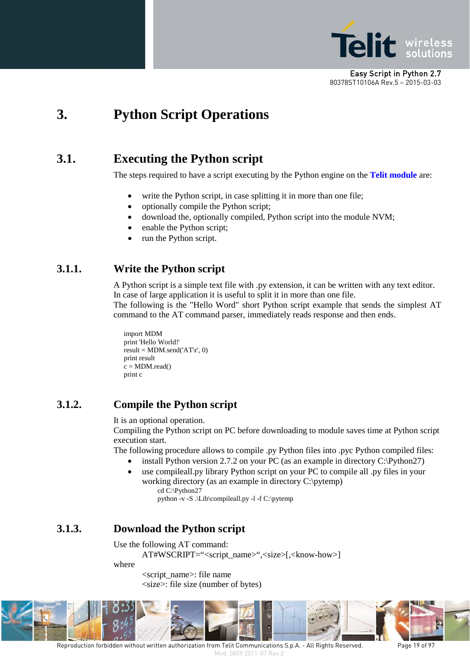

# <span id="page-18-0"></span>**3. Python Script Operations**

# <span id="page-18-1"></span>**3.1. Executing the Python script**

The steps required to have a script executing by the Python engine on the **Telit module** are:

- write the Python script, in case splitting it in more than one file;
- optionally compile the Python script;
- download the, optionally compiled, Python script into the module NVM;
- enable the Python script;
- run the Python script.

## <span id="page-18-2"></span>**3.1.1. Write the Python script**

A Python script is a simple text file with .py extension, it can be written with any text editor. In case of large application it is useful to split it in more than one file.

The following is the "Hello Word" short Python script example that sends the simplest AT command to the AT command parser, immediately reads response and then ends.

```
import MDM
print 'Hello World!'
result = MDM.send('AT\r', 0)
print result
c = MDM.read()print c
```
#### <span id="page-18-3"></span>**3.1.2. Compile the Python script**

It is an optional operation.

Compiling the Python script on PC before downloading to module saves time at Python script execution start.

The following procedure allows to compile .py Python files into .pyc Python compiled files:

- install Python version 2.7.2 on your PC (as an example in directory  $C:\P$ ython27)
- use compileall.py library Python script on your PC to compile all .py files in your working directory (as an example in directory C:\pytemp) cd C:\Python27

python -v -S .\Lib\compileall.py -l -f C:\pytemp

## <span id="page-18-4"></span>**3.1.3. Download the Python script**

Use the following AT command:

AT#WSCRIPT="<script\_name>",<size>[,<know-how>]

where

<script\_name>: file name <size>: file size (number of bytes)



Reproduction forbidden without written authorization from Telit Communications S.p.A. - All Rights Reserved. Page 19 of 97 Mod. 0809 2011-07 Rev.2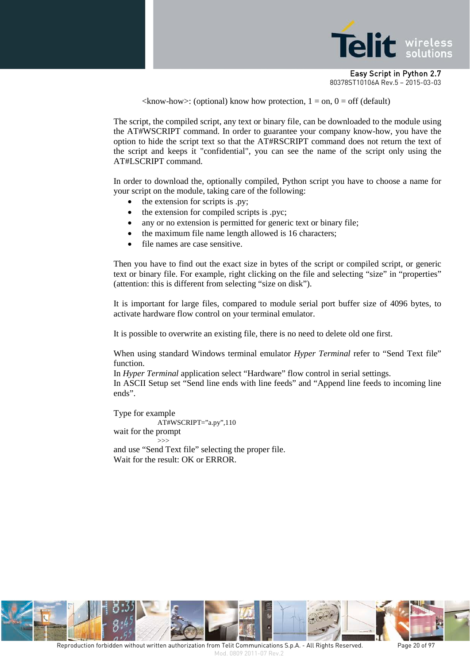

 $\langle$ know-how>: (optional) know how protection, 1 = on, 0 = off (default)

The script, the compiled script, any text or binary file, can be downloaded to the module using the AT#WSCRIPT command. In order to guarantee your company know-how, you have the option to hide the script text so that the AT#RSCRIPT command does not return the text of the script and keeps it "confidential", you can see the name of the script only using the AT#LSCRIPT command.

In order to download the, optionally compiled, Python script you have to choose a name for your script on the module, taking care of the following:

- the extension for scripts is .py;
- the extension for compiled scripts is .pyc;
- any or no extension is permitted for generic text or binary file;
- the maximum file name length allowed is 16 characters;
- file names are case sensitive.

Then you have to find out the exact size in bytes of the script or compiled script, or generic text or binary file. For example, right clicking on the file and selecting "size" in "properties" (attention: this is different from selecting "size on disk").

It is important for large files, compared to module serial port buffer size of 4096 bytes, to activate hardware flow control on your terminal emulator.

It is possible to overwrite an existing file, there is no need to delete old one first.

When using standard Windows terminal emulator *Hyper Terminal* refer to "Send Text file" function.

In *Hyper Terminal* application select "Hardware" flow control in serial settings. In ASCII Setup set "Send line ends with line feeds" and "Append line feeds to incoming line ends".

Type for example AT#WSCRIPT="a.py",110 wait for the prompt >>> and use "Send Text file" selecting the proper file. Wait for the result: OK or ERROR.

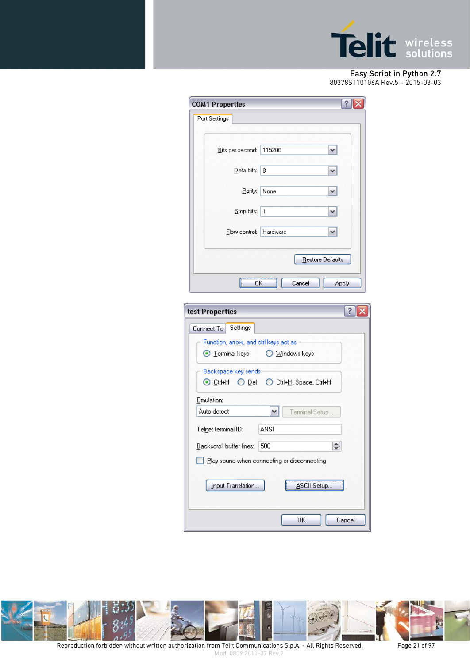

# Easy Script in Python 2.7

[80378ST10106A](#page-0-0) Rev.5 – 2015-03-03

| <b>COM1 Properties</b>                                                   | ?                |  |  |  |
|--------------------------------------------------------------------------|------------------|--|--|--|
| Port Settings                                                            |                  |  |  |  |
|                                                                          |                  |  |  |  |
| 115200<br>Bits per second:                                               | v                |  |  |  |
| Data bits:<br>8                                                          | v                |  |  |  |
| Parity:<br>None                                                          |                  |  |  |  |
| Stop bits:<br>1                                                          | ٧                |  |  |  |
| Hardware<br>Flow control:                                                | ᄿ                |  |  |  |
|                                                                          | Restore Defaults |  |  |  |
| Cancel<br>OΚ                                                             | Apply            |  |  |  |
|                                                                          |                  |  |  |  |
| ?<br>test Properties                                                     |                  |  |  |  |
| Settings<br>Connect To                                                   |                  |  |  |  |
| Function, arrow, and otrl keys act as -                                  |                  |  |  |  |
| $\odot$ $I$ erminal keys<br>O Windows keys                               |                  |  |  |  |
| Backspace key sends                                                      |                  |  |  |  |
| ⊙ Ctrl+H O Del<br>◯ Ctrl+H, Space, Ctrl+H                                |                  |  |  |  |
| Emulation:                                                               |                  |  |  |  |
| Auto detect<br>Terminal Setup                                            |                  |  |  |  |
| <b>ANSI</b><br>Telnet terminal ID:                                       |                  |  |  |  |
| $\left( \frac{1}{2} \right)$<br>500<br>Backscroll buffer lines:<br>الكفا |                  |  |  |  |
| Play sound when connecting or disconnecting                              |                  |  |  |  |
| ∆SCII Setup<br>Input Translation                                         |                  |  |  |  |
| OK.                                                                      | Cancel           |  |  |  |



Reproduction forbidden without written authorization from Telit Communications S.p.A. - All Rights Reserved. Page 21 of 97 Mod. 0809 2011-07 Rev.2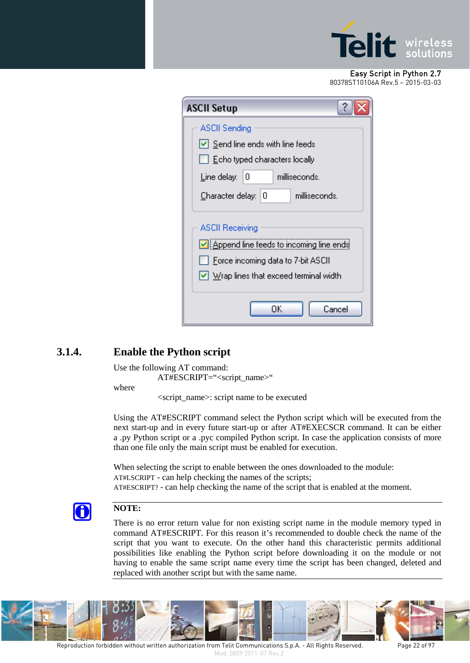

| <b>ASCII Setup</b>                                                                                                                                                                         |  |  |  |
|--------------------------------------------------------------------------------------------------------------------------------------------------------------------------------------------|--|--|--|
| <b>ASCII Sending</b>                                                                                                                                                                       |  |  |  |
| $\vert \mathbf{v} \vert$ Send line ends with line feeds                                                                                                                                    |  |  |  |
| Echo typed characters locally                                                                                                                                                              |  |  |  |
| Line delay:<br>milliseconds.<br>10                                                                                                                                                         |  |  |  |
| milliseconds.<br>Character delay:<br>10                                                                                                                                                    |  |  |  |
| <b>ASCII Receiving</b><br>$\triangleright$ Append line feeds to incoming line ends<br>Force incoming data to 7-bit ASCII<br>$\vert \checkmark \vert$ Wrap lines that exceed terminal width |  |  |  |
| OΚ<br>Cancel                                                                                                                                                                               |  |  |  |

## <span id="page-21-0"></span>**3.1.4. Enable the Python script**

Use the following AT command:

AT#ESCRIPT="<script\_name>"

where

<script\_name>: script name to be executed

Using the AT#ESCRIPT command select the Python script which will be executed from the next start-up and in every future start-up or after AT#EXECSCR command. It can be either a .py Python script or a .pyc compiled Python script. In case the application consists of more than one file only the main script must be enabled for execution.

When selecting the script to enable between the ones downloaded to the module: AT#LSCRIPT - can help checking the names of the scripts; AT#ESCRIPT? - can help checking the name of the script that is enabled at the moment.



#### **NOTE:**

There is no error return value for non existing script name in the module memory typed in command AT#ESCRIPT. For this reason it's recommended to double check the name of the script that you want to execute. On the other hand this characteristic permits additional possibilities like enabling the Python script before downloading it on the module or not having to enable the same script name every time the script has been changed, deleted and replaced with another script but with the same name.

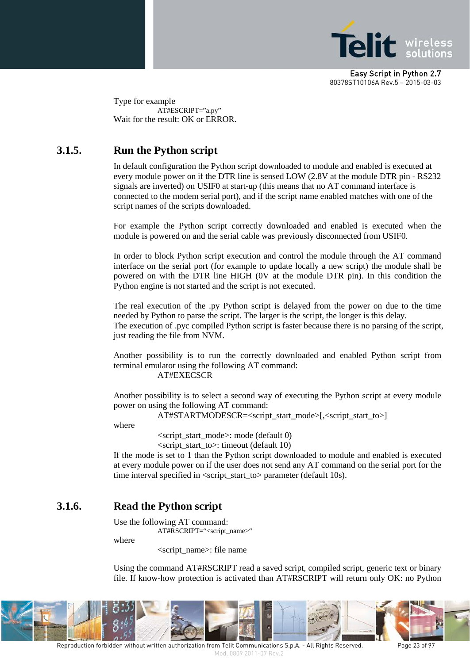

Type for example AT#ESCRIPT="a.py" Wait for the result: OK or ERROR.

## <span id="page-22-0"></span>**3.1.5. Run the Python script**

In default configuration the Python script downloaded to module and enabled is executed at every module power on if the DTR line is sensed LOW (2.8V at the module DTR pin - RS232 signals are inverted) on USIF0 at start-up (this means that no AT command interface is connected to the modem serial port), and if the script name enabled matches with one of the script names of the scripts downloaded.

For example the Python script correctly downloaded and enabled is executed when the module is powered on and the serial cable was previously disconnected from USIF0.

In order to block Python script execution and control the module through the AT command interface on the serial port (for example to update locally a new script) the module shall be powered on with the DTR line HIGH (0V at the module DTR pin). In this condition the Python engine is not started and the script is not executed.

The real execution of the .py Python script is delayed from the power on due to the time needed by Python to parse the script. The larger is the script, the longer is this delay. The execution of .pyc compiled Python script is faster because there is no parsing of the script, just reading the file from NVM.

Another possibility is to run the correctly downloaded and enabled Python script from terminal emulator using the following AT command: AT#EXECSCR

Another possibility is to select a second way of executing the Python script at every module power on using the following AT command:

AT#STARTMODESCR=<script\_start\_mode>[,<script\_start\_to>]

where

<script\_start\_mode>: mode (default 0)

 $\le$ script start to $\ge$ : timeout (default 10)

If the mode is set to 1 than the Python script downloaded to module and enabled is executed at every module power on if the user does not send any AT command on the serial port for the time interval specified in <script\_start\_to> parameter (default 10s).

## <span id="page-22-1"></span>**3.1.6. Read the Python script**

Use the following AT command: AT#RSCRIPT="<script\_name>"

where

<script\_name>: file name

Using the command AT#RSCRIPT read a saved script, compiled script, generic text or binary file. If know-how protection is activated than AT#RSCRIPT will return only OK: no Python

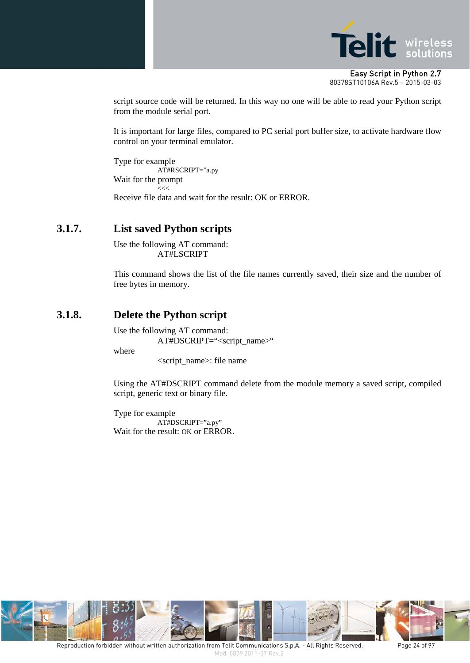

script source code will be returned. In this way no one will be able to read your Python script from the module serial port.

It is important for large files, compared to PC serial port buffer size, to activate hardware flow control on your terminal emulator.

Type for example AT#RSCRIPT="a.py Wait for the prompt -<br><<< Receive file data and wait for the result: OK or ERROR.

#### <span id="page-23-0"></span>**3.1.7. List saved Python scripts**

Use the following AT command: AT#LSCRIPT

This command shows the list of the file names currently saved, their size and the number of free bytes in memory.

#### <span id="page-23-1"></span>**3.1.8. Delete the Python script**

Use the following AT command:

AT#DSCRIPT="<script\_name>"

where

<script\_name>: file name

Using the AT#DSCRIPT command delete from the module memory a saved script, compiled script, generic text or binary file.

Type for example AT#DSCRIPT="a.py" Wait for the result: OK or ERROR.

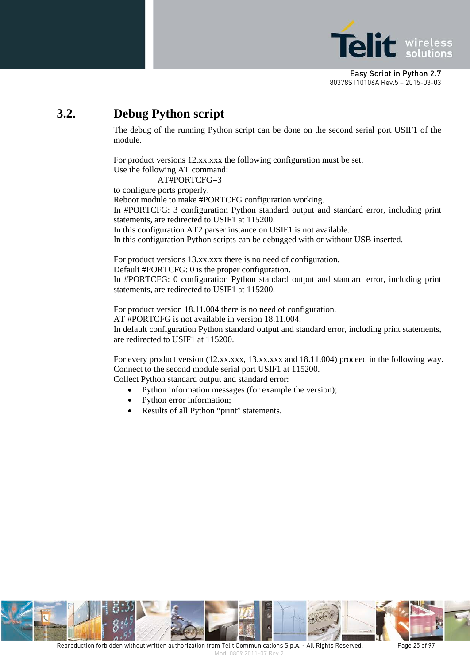

# <span id="page-24-0"></span>**3.2. Debug Python script**

The debug of the running Python script can be done on the second serial port USIF1 of the module.

For product versions 12.xx.xxx the following configuration must be set. Use the following AT command:

AT#PORTCFG=3 to configure ports properly. Reboot module to make #PORTCFG configuration working. In #PORTCFG: 3 configuration Python standard output and standard error, including print statements, are redirected to USIF1 at 115200. In this configuration AT2 parser instance on USIF1 is not available.

In this configuration Python scripts can be debugged with or without USB inserted.

For product versions 13.xx.xxx there is no need of configuration. Default #PORTCFG: 0 is the proper configuration. In #PORTCFG: 0 configuration Python standard output and standard error, including print statements, are redirected to USIF1 at 115200.

For product version 18.11.004 there is no need of configuration. AT #PORTCFG is not available in version 18.11.004. In default configuration Python standard output and standard error, including print statements, are redirected to USIF1 at 115200.

For every product version (12.xx.xxx, 13.xx.xxx and 18.11.004) proceed in the following way. Connect to the second module serial port USIF1 at 115200.

Collect Python standard output and standard error:

- Python information messages (for example the version);
- Python error information;
- Results of all Python "print" statements.

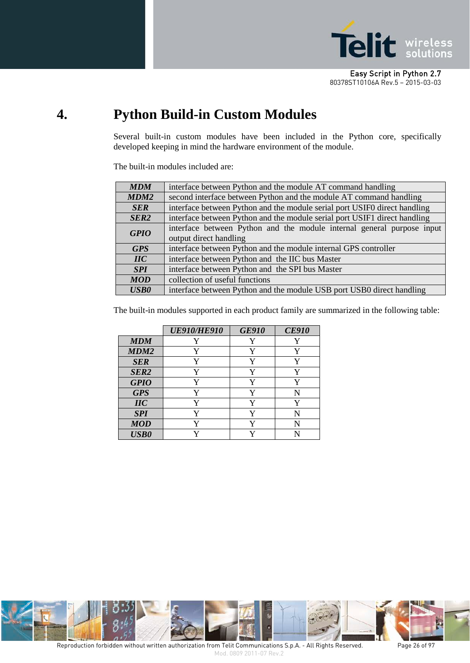

# <span id="page-25-0"></span>**4. Python Build-in Custom Modules**

Several built-in custom modules have been included in the Python core, specifically developed keeping in mind the hardware environment of the module.

The built-in modules included are:

| <b>MDM</b>       | interface between Python and the module AT command handling                                      |  |
|------------------|--------------------------------------------------------------------------------------------------|--|
| MDM2             | second interface between Python and the module AT command handling                               |  |
| <b>SER</b>       | interface between Python and the module serial port USIF0 direct handling                        |  |
| SER <sub>2</sub> | interface between Python and the module serial port USIF1 direct handling                        |  |
| <b>GPIO</b>      | interface between Python and the module internal general purpose input<br>output direct handling |  |
| <b>GPS</b>       | interface between Python and the module internal GPS controller                                  |  |
| $\mathbf{H}$ C   | interface between Python and the IIC bus Master                                                  |  |
| <b>SPI</b>       | interface between Python and the SPI bus Master                                                  |  |
| <b>MOD</b>       | collection of useful functions                                                                   |  |
| <b>USB0</b>      | interface between Python and the module USB port USB0 direct handling                            |  |

The built-in modules supported in each product family are summarized in the following table:

|                                  | <b>UE910/HE910</b> | <b>GE910</b> | <b>CE910</b> |
|----------------------------------|--------------------|--------------|--------------|
| <b>MDM</b>                       |                    | Y            |              |
| MDM <sub>2</sub>                 | Y                  | Y            | Y            |
| <b>SER</b>                       | Y                  | Y            | Y            |
| SER <sub>2</sub>                 | Y                  | Y            | Y            |
| <b>GPIO</b>                      | V                  | Y            | Y            |
| <b>GPS</b>                       | Y                  | Y            | N            |
| $\mathbf{I}\mathbf{I}\mathbf{C}$ | Y                  | Y            | Y            |
| <b>SPI</b>                       | V                  | Y            | N            |
| <b>MOD</b>                       | v                  | Y            | N            |
| <b>USB0</b>                      |                    |              |              |

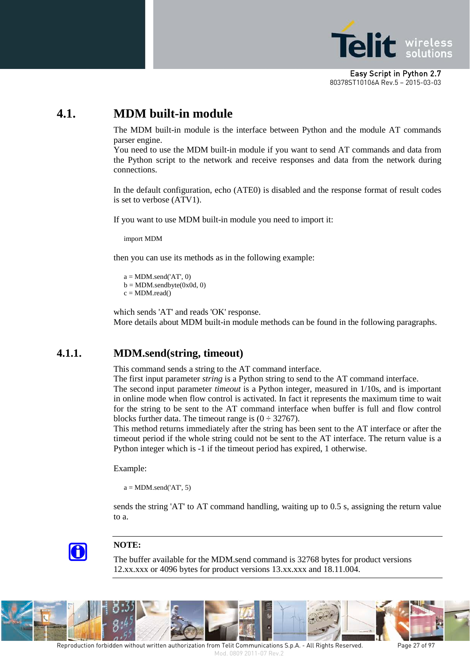

# <span id="page-26-0"></span>**4.1. MDM built-in module**

The MDM built-in module is the interface between Python and the module AT commands parser engine.

You need to use the MDM built-in module if you want to send AT commands and data from the Python script to the network and receive responses and data from the network during connections.

In the default configuration, echo (ATE0) is disabled and the response format of result codes is set to verbose (ATV1).

If you want to use MDM built-in module you need to import it:

import MDM

then you can use its methods as in the following example:

 $a = MDM.send('AT', 0)$  $b = MDM$ .sendbyte $(0x0d, 0)$  $c = MDM.read()$ 

which sends 'AT' and reads 'OK' response. More details about MDM built-in module methods can be found in the following paragraphs.

#### <span id="page-26-1"></span>**4.1.1. MDM.send(string, timeout)**

This command sends a string to the AT command interface.

The first input parameter *string* is a Python string to send to the AT command interface. The second input parameter *timeout* is a Python integer, measured in 1/10s, and is important in online mode when flow control is activated. In fact it represents the maximum time to wait for the string to be sent to the AT command interface when buffer is full and flow control blocks further data. The timeout range is  $(0 \div 32767)$ .

This method returns immediately after the string has been sent to the AT interface or after the timeout period if the whole string could not be sent to the AT interface. The return value is a Python integer which is -1 if the timeout period has expired, 1 otherwise.

Example:

 $a = MDM.send('AT', 5)$ 

sends the string 'AT' to AT command handling, waiting up to 0.5 s, assigning the return value to a.



#### **NOTE:**

The buffer available for the MDM.send command is 32768 bytes for product versions 12.xx.xxx or 4096 bytes for product versions 13.xx.xxx and 18.11.004.

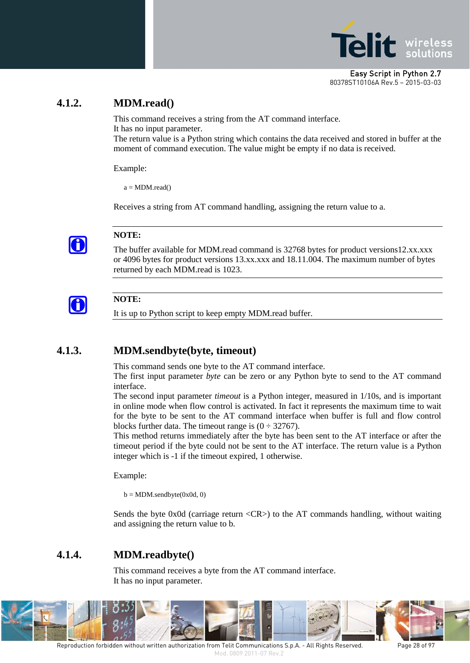

### <span id="page-27-0"></span>**4.1.2. MDM.read()**

This command receives a string from the AT command interface. It has no input parameter.

The return value is a Python string which contains the data received and stored in buffer at the moment of command execution. The value might be empty if no data is received.

Example:

 $a = MDM.read()$ 

Receives a string from AT command handling, assigning the return value to a.



#### **NOTE:**

The buffer available for MDM.read command is 32768 bytes for product versions12.xx.xxx or 4096 bytes for product versions 13.xx.xxx and 18.11.004. The maximum number of bytes returned by each MDM.read is 1023.



#### **NOTE:**

It is up to Python script to keep empty MDM.read buffer.

#### <span id="page-27-1"></span>**4.1.3. MDM.sendbyte(byte, timeout)**

This command sends one byte to the AT command interface.

The first input parameter *byte* can be zero or any Python byte to send to the AT command interface.

The second input parameter *timeout* is a Python integer, measured in 1/10s, and is important in online mode when flow control is activated. In fact it represents the maximum time to wait for the byte to be sent to the AT command interface when buffer is full and flow control blocks further data. The timeout range is  $(0 \div 32767)$ .

This method returns immediately after the byte has been sent to the AT interface or after the timeout period if the byte could not be sent to the AT interface. The return value is a Python integer which is -1 if the timeout expired, 1 otherwise.

Example:

 $b = MDM$ .sendbyte $(0x0d, 0)$ 

Sends the byte 0x0d (carriage return <CR>) to the AT commands handling, without waiting and assigning the return value to b.

#### <span id="page-27-2"></span>**4.1.4. MDM.readbyte()**

This command receives a byte from the AT command interface. It has no input parameter.



Reproduction forbidden without written authorization from Telit Communications S.p.A. - All Rights Reserved. Page 28 of 97 Mod. 0809 2011-07 Rev.2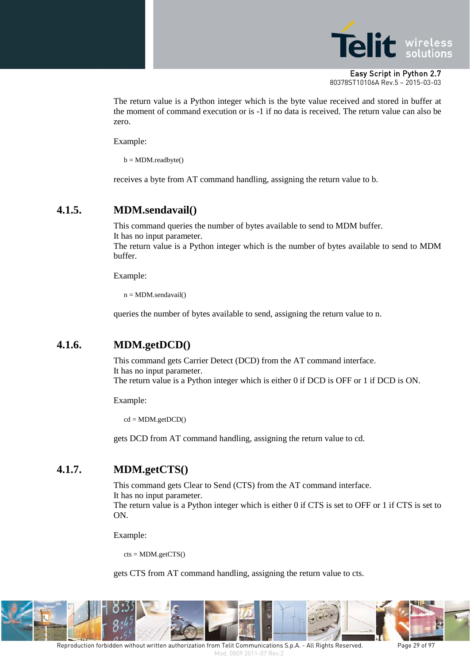

The return value is a Python integer which is the byte value received and stored in buffer at the moment of command execution or is -1 if no data is received. The return value can also be zero.

Example:

 $b = MDM.readbyte()$ 

receives a byte from AT command handling, assigning the return value to b.

#### <span id="page-28-0"></span>**4.1.5. MDM.sendavail()**

This command queries the number of bytes available to send to MDM buffer. It has no input parameter.

The return value is a Python integer which is the number of bytes available to send to MDM buffer.

Example:

 $n = MDM.sendavail()$ 

queries the number of bytes available to send, assigning the return value to n.

#### <span id="page-28-1"></span>**4.1.6. MDM.getDCD()**

This command gets Carrier Detect (DCD) from the AT command interface. It has no input parameter. The return value is a Python integer which is either 0 if DCD is OFF or 1 if DCD is ON.

Example:

 $cd = MDM.getDCD()$ 

gets DCD from AT command handling, assigning the return value to cd.

## <span id="page-28-2"></span>**4.1.7. MDM.getCTS()**

This command gets Clear to Send (CTS) from the AT command interface. It has no input parameter. The return value is a Python integer which is either 0 if CTS is set to OFF or 1 if CTS is set to ON.

Example:

 $cts = MDM.getCTS()$ 

gets CTS from AT command handling, assigning the return value to cts.

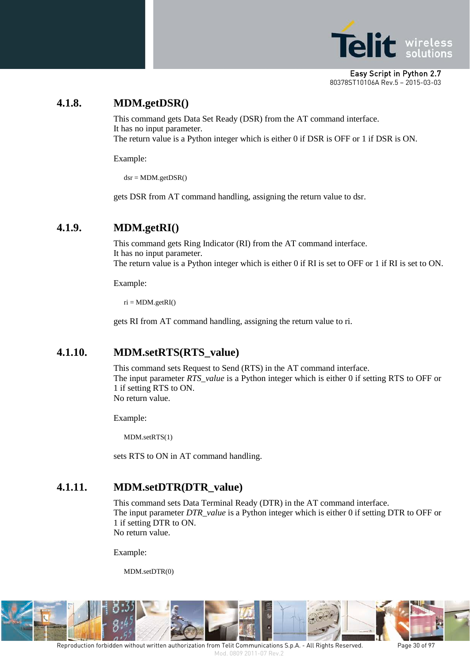

### <span id="page-29-0"></span>**4.1.8. MDM.getDSR()**

This command gets Data Set Ready (DSR) from the AT command interface. It has no input parameter. The return value is a Python integer which is either 0 if DSR is OFF or 1 if DSR is ON.

Example:

 $dsr = MDM.getDSR()$ 

gets DSR from AT command handling, assigning the return value to dsr.

#### <span id="page-29-1"></span>**4.1.9. MDM.getRI()**

This command gets Ring Indicator (RI) from the AT command interface. It has no input parameter. The return value is a Python integer which is either 0 if RI is set to OFF or 1 if RI is set to ON.

Example:

 $ri = MDM.getRI()$ 

gets RI from AT command handling, assigning the return value to ri.

#### <span id="page-29-2"></span>**4.1.10. MDM.setRTS(RTS\_value)**

This command sets Request to Send (RTS) in the AT command interface. The input parameter *RTS\_value* is a Python integer which is either 0 if setting RTS to OFF or 1 if setting RTS to ON. No return value.

Example:

MDM.setRTS(1)

sets RTS to ON in AT command handling.

#### <span id="page-29-3"></span>**4.1.11. MDM.setDTR(DTR\_value)**

This command sets Data Terminal Ready (DTR) in the AT command interface. The input parameter *DTR\_value* is a Python integer which is either 0 if setting DTR to OFF or 1 if setting DTR to ON. No return value.

Example:

MDM.setDTR(0)

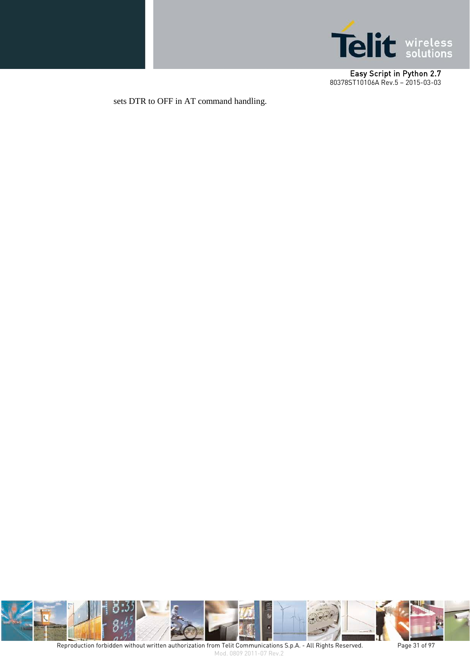

sets DTR to OFF in AT command handling.



Reproduction forbidden without written authorization from Telit Communications S.p.A. - All Rights Reserved. Page 31 of 97 Mod. 0809 2011-07 Rev.2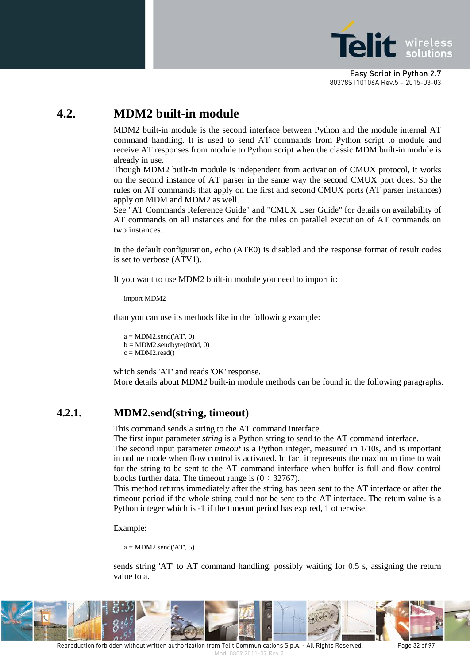

# <span id="page-31-0"></span>**4.2. MDM2 built-in module**

MDM2 built-in module is the second interface between Python and the module internal AT command handling. It is used to send AT commands from Python script to module and receive AT responses from module to Python script when the classic MDM built-in module is already in use.

Though MDM2 built-in module is independent from activation of CMUX protocol, it works on the second instance of AT parser in the same way the second CMUX port does. So the rules on AT commands that apply on the first and second CMUX ports (AT parser instances) apply on MDM and MDM2 as well.

See "AT Commands Reference Guide" and "CMUX User Guide" for details on availability of AT commands on all instances and for the rules on parallel execution of AT commands on two instances.

In the default configuration, echo (ATE0) is disabled and the response format of result codes is set to verbose (ATV1).

If you want to use MDM2 built-in module you need to import it:

import MDM2

than you can use its methods like in the following example:

 $a = MDM2.send('AT'. 0)$  $b = MDM2$ .sendbyte $(0x0d, 0)$  $c = MDM2.read()$ 

which sends 'AT' and reads 'OK' response. More details about MDM2 built-in module methods can be found in the following paragraphs.

### <span id="page-31-1"></span>**4.2.1. MDM2.send(string, timeout)**

This command sends a string to the AT command interface.

The first input parameter *string* is a Python string to send to the AT command interface.

The second input parameter *timeout* is a Python integer, measured in 1/10s, and is important in online mode when flow control is activated. In fact it represents the maximum time to wait for the string to be sent to the AT command interface when buffer is full and flow control blocks further data. The timeout range is  $(0 \div 32767)$ .

This method returns immediately after the string has been sent to the AT interface or after the timeout period if the whole string could not be sent to the AT interface. The return value is a Python integer which is -1 if the timeout period has expired, 1 otherwise.

Example:

 $a = MDM2$ .send('AT', 5)

sends string 'AT' to AT command handling, possibly waiting for 0.5 s, assigning the return value to a.



Reproduction forbidden without written authorization from Telit Communications S.p.A. - All Rights Reserved. Page 32 of 97 Mod. 0809 2011-07 Rev.2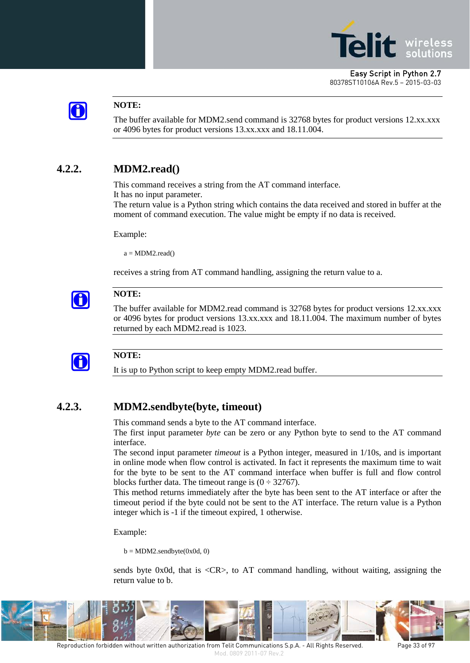



#### **NOTE:**

The buffer available for MDM2.send command is 32768 bytes for product versions 12.xx.xxx or 4096 bytes for product versions 13.xx.xxx and 18.11.004.

### <span id="page-32-0"></span>**4.2.2. MDM2.read()**

This command receives a string from the AT command interface. It has no input parameter.

The return value is a Python string which contains the data received and stored in buffer at the moment of command execution. The value might be empty if no data is received.

Example:

 $a = MDM2.read()$ 

receives a string from AT command handling, assigning the return value to a.



#### **NOTE:**

The buffer available for MDM2.read command is 32768 bytes for product versions 12.xx.xxx or 4096 bytes for product versions 13.xx.xxx and 18.11.004. The maximum number of bytes returned by each MDM2.read is 1023.



#### **NOTE:**

It is up to Python script to keep empty MDM2.read buffer.

#### <span id="page-32-1"></span>**4.2.3. MDM2.sendbyte(byte, timeout)**

This command sends a byte to the AT command interface.

The first input parameter *byte* can be zero or any Python byte to send to the AT command interface.

The second input parameter *timeout* is a Python integer, measured in 1/10s, and is important in online mode when flow control is activated. In fact it represents the maximum time to wait for the byte to be sent to the AT command interface when buffer is full and flow control blocks further data. The timeout range is  $(0 \div 32767)$ .

This method returns immediately after the byte has been sent to the AT interface or after the timeout period if the byte could not be sent to the AT interface. The return value is a Python integer which is -1 if the timeout expired, 1 otherwise.

Example:

 $b = MDM2$ .sendbyte(0x0d, 0)

sends byte 0x0d, that is  $\langle CR \rangle$ , to AT command handling, without waiting, assigning the return value to b.



Reproduction forbidden without written authorization from Telit Communications S.p.A. - All Rights Reserved. Page 33 of 97 Mod. 0809 2011-07 Rev.2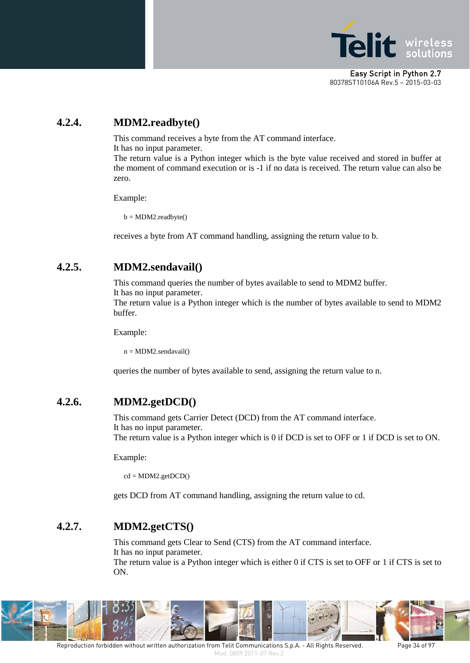

# <span id="page-33-0"></span>**4.2.4. MDM2.readbyte()**

This command receives a byte from the AT command interface.

It has no input parameter.

The return value is a Python integer which is the byte value received and stored in buffer at the moment of command execution or is -1 if no data is received. The return value can also be zero.

Example:

 $b = MDM2.readbyte()$ 

receives a byte from AT command handling, assigning the return value to b.

## <span id="page-33-1"></span>**4.2.5. MDM2.sendavail()**

This command queries the number of bytes available to send to MDM2 buffer.

It has no input parameter.

The return value is a Python integer which is the number of bytes available to send to MDM2 buffer.

Example:

 $n = MDM2$ .sendavail()

queries the number of bytes available to send, assigning the return value to n.

# <span id="page-33-2"></span>**4.2.6. MDM2.getDCD()**

This command gets Carrier Detect (DCD) from the AT command interface. It has no input parameter. The return value is a Python integer which is 0 if DCD is set to OFF or 1 if DCD is set to ON.

Example:

 $cd = MDM2.getDCD()$ 

gets DCD from AT command handling, assigning the return value to cd.

# <span id="page-33-3"></span>**4.2.7. MDM2.getCTS()**

This command gets Clear to Send (CTS) from the AT command interface. It has no input parameter.

The return value is a Python integer which is either 0 if CTS is set to OFF or 1 if CTS is set to ON.

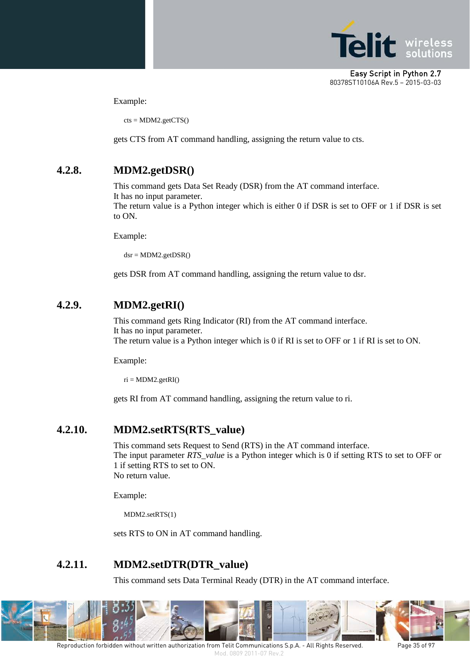

Example:

 $cts = MDM2.getCTS()$ 

gets CTS from AT command handling, assigning the return value to cts.

#### <span id="page-34-0"></span>**4.2.8. MDM2.getDSR()**

This command gets Data Set Ready (DSR) from the AT command interface. It has no input parameter.

The return value is a Python integer which is either 0 if DSR is set to OFF or 1 if DSR is set to ON.

Example:

 $dsr = MDM2.getDSR()$ 

gets DSR from AT command handling, assigning the return value to dsr.

#### <span id="page-34-1"></span>**4.2.9. MDM2.getRI()**

This command gets Ring Indicator (RI) from the AT command interface. It has no input parameter. The return value is a Python integer which is 0 if RI is set to OFF or 1 if RI is set to ON.

Example:

 $ri = MDM2.getRI()$ 

gets RI from AT command handling, assigning the return value to ri.

#### <span id="page-34-2"></span>**4.2.10. MDM2.setRTS(RTS\_value)**

This command sets Request to Send (RTS) in the AT command interface. The input parameter *RTS\_value* is a Python integer which is 0 if setting RTS to set to OFF or 1 if setting RTS to set to ON. No return value.

Example:

MDM2.setRTS(1)

sets RTS to ON in AT command handling.

## <span id="page-34-3"></span>**4.2.11. MDM2.setDTR(DTR\_value)**

This command sets Data Terminal Ready (DTR) in the AT command interface.



Reproduction forbidden without written authorization from Telit Communications S.p.A. - All Rights Reserved. Page 35 of 97 Mod. 0809 2011-07 Rev.2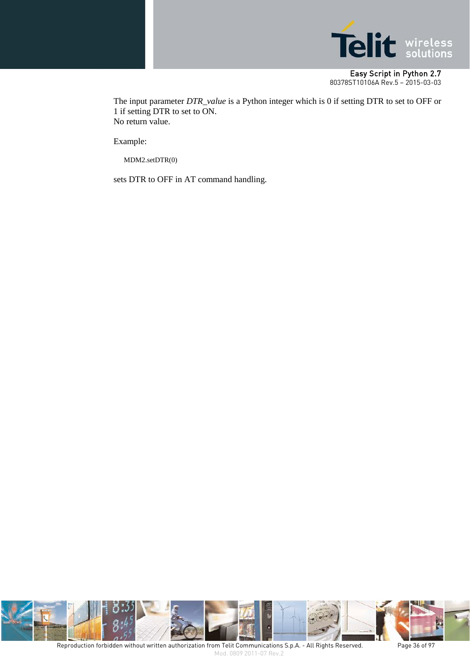

The input parameter *DTR\_value* is a Python integer which is 0 if setting DTR to set to OFF or 1 if setting DTR to set to ON. No return value.

Example:

MDM2.setDTR(0)

sets DTR to OFF in AT command handling.

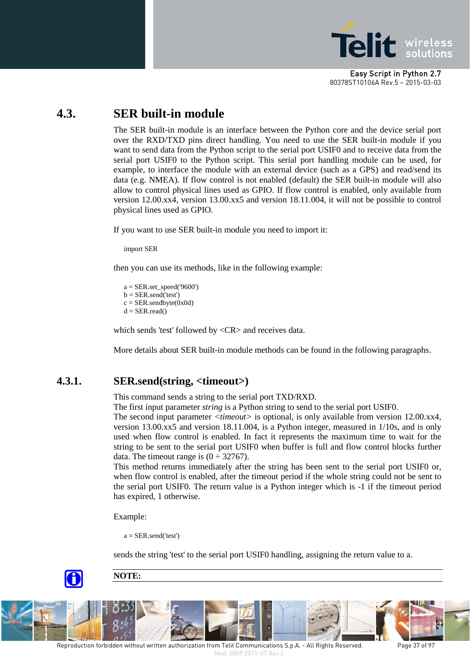

# **4.3. SER built-in module**

The SER built-in module is an interface between the Python core and the device serial port over the RXD/TXD pins direct handling. You need to use the SER built-in module if you want to send data from the Python script to the serial port USIF0 and to receive data from the serial port USIF0 to the Python script. This serial port handling module can be used, for example, to interface the module with an external device (such as a GPS) and read/send its data (e.g. NMEA). If flow control is not enabled (default) the SER built-in module will also allow to control physical lines used as GPIO. If flow control is enabled, only available from version 12.00.xx4, version 13.00.xx5 and version 18.11.004, it will not be possible to control physical lines used as GPIO.

If you want to use SER built-in module you need to import it:

import SER

then you can use its methods, like in the following example:

a = SER.set\_speed('9600')  $b = SER.send('test')$  $c = SER.sendbyte(0x0d)$  $d = SER.read()$ 

which sends 'test' followed by <CR> and receives data.

More details about SER built-in module methods can be found in the following paragraphs.

#### **4.3.1. SER.send(string, <timeout>)**

This command sends a string to the serial port TXD/RXD.

The first input parameter *string* is a Python string to send to the serial port USIF0.

The second input parameter *<timeout>* is optional, is only available from version 12.00.xx4, version 13.00.xx5 and version 18.11.004, is a Python integer, measured in 1/10s, and is only used when flow control is enabled. In fact it represents the maximum time to wait for the string to be sent to the serial port USIF0 when buffer is full and flow control blocks further data. The timeout range is  $(0 \div 32767)$ .

This method returns immediately after the string has been sent to the serial port USIF0 or, when flow control is enabled, after the timeout period if the whole string could not be sent to the serial port USIF0. The return value is a Python integer which is -1 if the timeout period has expired, 1 otherwise.

Example:

 $a = SER.send('test')$ 

sends the string 'test' to the serial port USIF0 handling, assigning the return value to a.



**NOTE:**

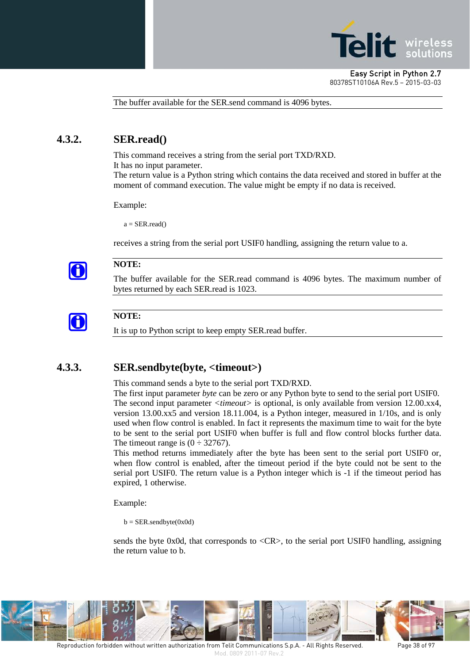

The buffer available for the SER.send command is 4096 bytes.

### **4.3.2. SER.read()**

This command receives a string from the serial port TXD/RXD.

It has no input parameter.

The return value is a Python string which contains the data received and stored in buffer at the moment of command execution. The value might be empty if no data is received.

Example:

 $a = SER.read()$ 

receives a string from the serial port USIF0 handling, assigning the return value to a.



#### **NOTE:**

The buffer available for the SER.read command is 4096 bytes. The maximum number of bytes returned by each SER.read is 1023.



#### **NOTE:**

It is up to Python script to keep empty SER.read buffer.

#### **4.3.3. SER.sendbyte(byte, <timeout>)**

This command sends a byte to the serial port TXD/RXD.

The first input parameter *byte* can be zero or any Python byte to send to the serial port USIF0. The second input parameter *<timeout>* is optional, is only available from version 12.00.xx4, version 13.00.xx5 and version 18.11.004, is a Python integer, measured in 1/10s, and is only used when flow control is enabled. In fact it represents the maximum time to wait for the byte to be sent to the serial port USIF0 when buffer is full and flow control blocks further data. The timeout range is  $(0 \div 32767)$ .

This method returns immediately after the byte has been sent to the serial port USIF0 or, when flow control is enabled, after the timeout period if the byte could not be sent to the serial port USIF0. The return value is a Python integer which is -1 if the timeout period has expired, 1 otherwise.

Example:

 $b = SER.sendbyte(0x0d)$ 

sends the byte 0x0d, that corresponds to <CR>, to the serial port USIF0 handling, assigning the return value to b.

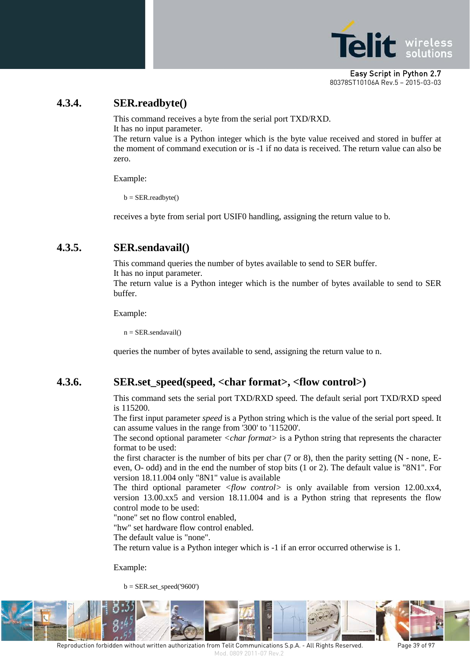

### **4.3.4. SER.readbyte()**

This command receives a byte from the serial port TXD/RXD. It has no input parameter.

The return value is a Python integer which is the byte value received and stored in buffer at the moment of command execution or is -1 if no data is received. The return value can also be zero.

Example:

b = SER.readbyte()

receives a byte from serial port USIF0 handling, assigning the return value to b.

### **4.3.5. SER.sendavail()**

This command queries the number of bytes available to send to SER buffer. It has no input parameter.

The return value is a Python integer which is the number of bytes available to send to SER buffer.

Example:

 $n = SER.sendavail()$ 

queries the number of bytes available to send, assigning the return value to n.

#### **4.3.6. SER.set\_speed(speed, <char format>, <flow control>)**

This command sets the serial port TXD/RXD speed. The default serial port TXD/RXD speed is 115200.

The first input parameter *speed* is a Python string which is the value of the serial port speed. It can assume values in the range from '300' to '115200'.

The second optional parameter *<char format>* is a Python string that represents the character format to be used:

the first character is the number of bits per char  $(7 \text{ or } 8)$ , then the parity setting  $(N - none, E -)$ even, O- odd) and in the end the number of stop bits (1 or 2). The default value is "8N1". For version 18.11.004 only "8N1" value is available

The third optional parameter *<flow control>* is only available from version 12.00.xx4, version 13.00.xx5 and version 18.11.004 and is a Python string that represents the flow control mode to be used:

"none" set no flow control enabled,

"hw" set hardware flow control enabled.

The default value is "none".

The return value is a Python integer which is -1 if an error occurred otherwise is 1.

Example:

 $b = SER.set\_speed('9600')$ 



Reproduction forbidden without written authorization from Telit Communications S.p.A. - All Rights Reserved. Page 39 of 97 Mod. 0809 2011-07 Rev.2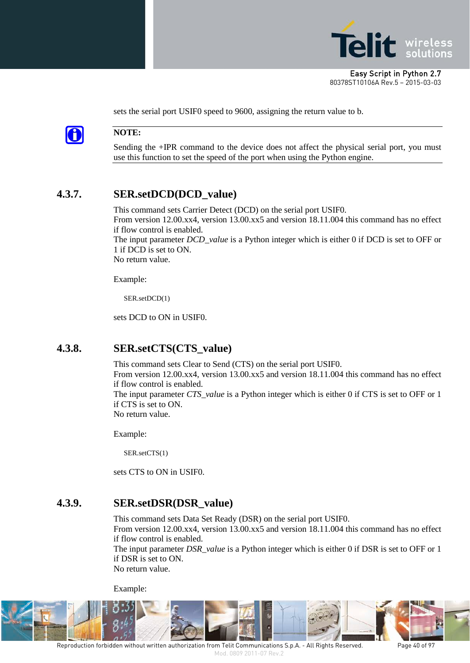



#### **NOTE:**

Sending the +IPR command to the device does not affect the physical serial port, you must use this function to set the speed of the port when using the Python engine.

sets the serial port USIF0 speed to 9600, assigning the return value to b.

# **4.3.7. SER.setDCD(DCD\_value)**

This command sets Carrier Detect (DCD) on the serial port USIF0. From version 12.00.xx4, version 13.00.xx5 and version 18.11.004 this command has no effect if flow control is enabled. The input parameter *DCD\_value* is a Python integer which is either 0 if DCD is set to OFF or 1 if DCD is set to ON. No return value.

Example:

SER.setDCD(1)

sets DCD to ON in USIF0.

## **4.3.8. SER.setCTS(CTS\_value)**

This command sets Clear to Send (CTS) on the serial port USIF0. From version 12.00.xx4, version 13.00.xx5 and version 18.11.004 this command has no effect if flow control is enabled. The input parameter *CTS\_value* is a Python integer which is either 0 if CTS is set to OFF or 1 if CTS is set to ON. No return value.

Example:

SER.setCTS(1)

sets CTS to ON in USIF0.

#### **4.3.9. SER.setDSR(DSR\_value)**

This command sets Data Set Ready (DSR) on the serial port USIF0. From version 12.00.xx4, version 13.00.xx5 and version 18.11.004 this command has no effect if flow control is enabled.

The input parameter *DSR\_value* is a Python integer which is either 0 if DSR is set to OFF or 1 if DSR is set to ON.

No return value.

Example:



Reproduction forbidden without written authorization from Telit Communications S.p.A. - All Rights Reserved. Page 40 of 97 Mod. 0809 2011-07 Rev.2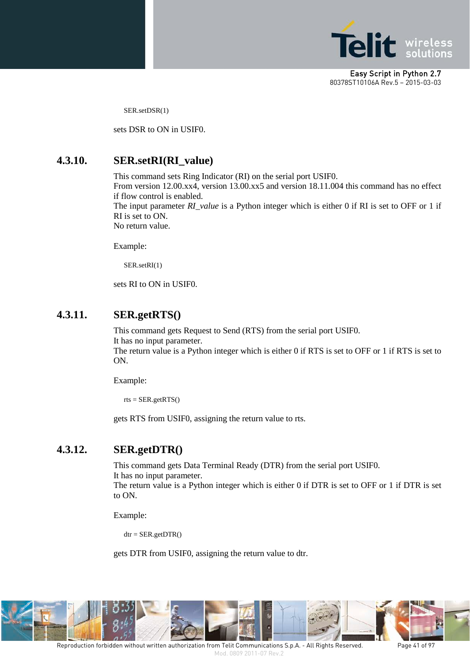

SER.setDSR(1)

sets DSR to ON in USIF0.

#### **4.3.10. SER.setRI(RI\_value)**

This command sets Ring Indicator (RI) on the serial port USIF0.

From version 12.00.xx4, version 13.00.xx5 and version 18.11.004 this command has no effect if flow control is enabled.

The input parameter *RI\_value* is a Python integer which is either 0 if RI is set to OFF or 1 if RI is set to ON.

No return value.

Example:

SER.setRI(1)

sets RI to ON in USIF0.

#### **4.3.11. SER.getRTS()**

This command gets Request to Send (RTS) from the serial port USIF0. It has no input parameter. The return value is a Python integer which is either 0 if RTS is set to OFF or 1 if RTS is set to ON.

Example:

 $rts = SER.getRTS()$ 

gets RTS from USIF0, assigning the return value to rts.

#### **4.3.12. SER.getDTR()**

This command gets Data Terminal Ready (DTR) from the serial port USIF0. It has no input parameter. The return value is a Python integer which is either 0 if DTR is set to OFF or 1 if DTR is set

Example:

to ON.

 $dt = SER.getDTR()$ 

gets DTR from USIF0, assigning the return value to dtr.

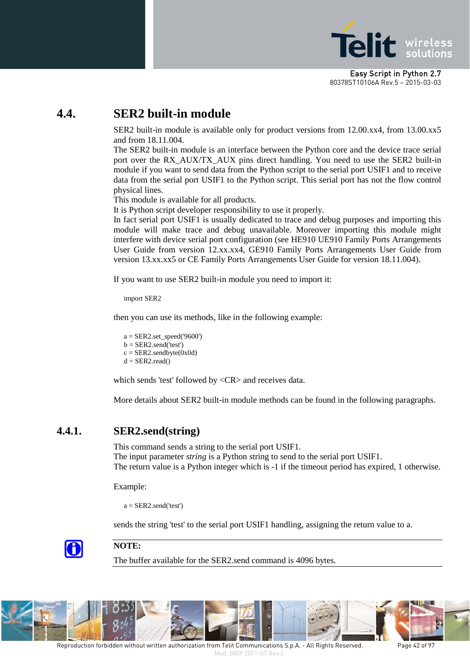

# **4.4. SER2 built-in module**

SER2 built-in module is available only for product versions from 12.00.xx4, from 13.00.xx5 and from 18.11.004.

The SER2 built-in module is an interface between the Python core and the device trace serial port over the RX\_AUX/TX\_AUX pins direct handling. You need to use the SER2 built-in module if you want to send data from the Python script to the serial port USIF1 and to receive data from the serial port USIF1 to the Python script. This serial port has not the flow control physical lines.

This module is available for all products.

It is Python script developer responsibility to use it properly.

In fact serial port USIF1 is usually dedicated to trace and debug purposes and importing this module will make trace and debug unavailable. Moreover importing this module might interfere with device serial port configuration (see HE910 UE910 Family Ports Arrangements User Guide from version 12.xx.xx4, GE910 Family Ports Arrangements User Guide from version 13.xx.xx5 or CE Family Ports Arrangements User Guide for version 18.11.004).

If you want to use SER2 built-in module you need to import it:

import SER2

then you can use its methods, like in the following example:

a = SER2.set\_speed('9600')  $b = SER2.send('test')$  $c = SER2.sendbyte(0x0d)$  $d = SER2.read()$ 

which sends 'test' followed by <CR> and receives data.

More details about SER2 built-in module methods can be found in the following paragraphs.

#### **4.4.1. SER2.send(string)**

This command sends a string to the serial port USIF1. The input parameter *string* is a Python string to send to the serial port USIF1. The return value is a Python integer which is -1 if the timeout period has expired, 1 otherwise.

Example:

 $a = SER2$ .send('test')

sends the string 'test' to the serial port USIF1 handling, assigning the return value to a.



#### **NOTE:**

The buffer available for the SER2.send command is 4096 bytes.

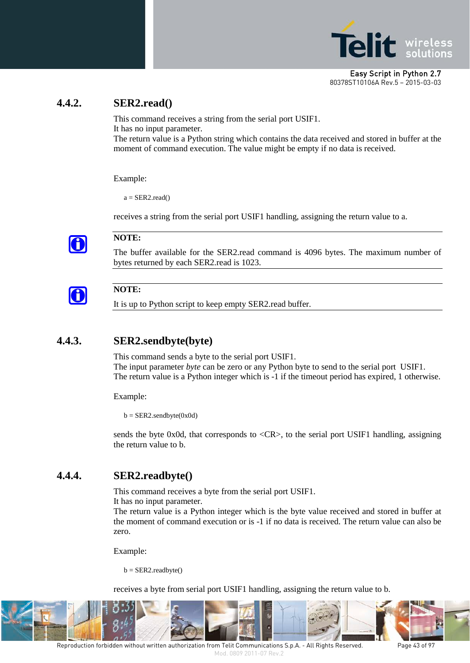

### **4.4.2. SER2.read()**

This command receives a string from the serial port USIF1. It has no input parameter. The return value is a Python string which contains the data received and stored in buffer at the

moment of command execution. The value might be empty if no data is received.

Example:

 $a = SER2.read()$ 

receives a string from the serial port USIF1 handling, assigning the return value to a.



#### **NOTE:**

The buffer available for the SER2.read command is 4096 bytes. The maximum number of bytes returned by each SER2.read is 1023.



## **NOTE:**

It is up to Python script to keep empty SER2.read buffer.

#### **4.4.3. SER2.sendbyte(byte)**

This command sends a byte to the serial port USIF1. The input parameter *byte* can be zero or any Python byte to send to the serial port USIF1. The return value is a Python integer which is -1 if the timeout period has expired, 1 otherwise.

Example:

 $b = SER2.sendbyte(0x0d)$ 

sends the byte 0x0d, that corresponds to <CR>, to the serial port USIF1 handling, assigning the return value to b.

#### **4.4.4. SER2.readbyte()**

This command receives a byte from the serial port USIF1.

It has no input parameter.

The return value is a Python integer which is the byte value received and stored in buffer at the moment of command execution or is -1 if no data is received. The return value can also be zero.

Example:

 $b = SER2.readbyte()$ 

receives a byte from serial port USIF1 handling, assigning the return value to b.



Reproduction forbidden without written authorization from Telit Communications S.p.A. - All Rights Reserved. Page 43 of 97 Mod. 0809 2011-07 Rev.2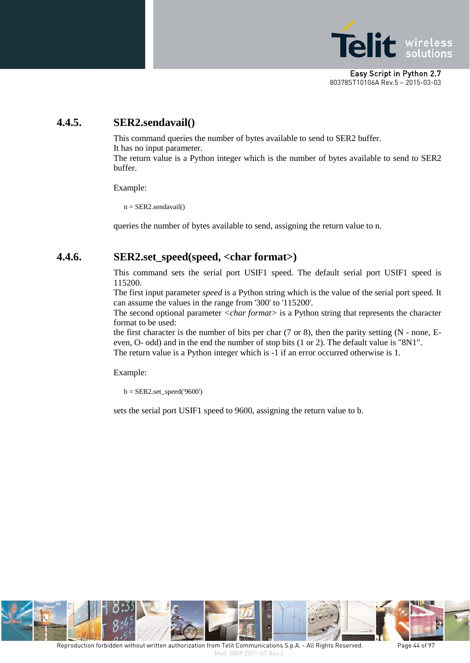

## **4.4.5. SER2.sendavail()**

This command queries the number of bytes available to send to SER2 buffer. It has no input parameter.

The return value is a Python integer which is the number of bytes available to send to SER2 buffer.

Example:

 $n = SER2$ .sendavail $()$ 

queries the number of bytes available to send, assigning the return value to n.

#### **4.4.6. SER2.set\_speed(speed, <char format>)**

This command sets the serial port USIF1 speed. The default serial port USIF1 speed is 115200.

The first input parameter *speed* is a Python string which is the value of the serial port speed. It can assume the values in the range from '300' to '115200'.

The second optional parameter *<char format>* is a Python string that represents the character format to be used:

the first character is the number of bits per char (7 or 8), then the parity setting (N - none, Eeven, O- odd) and in the end the number of stop bits (1 or 2). The default value is "8N1". The return value is a Python integer which is -1 if an error occurred otherwise is 1.

Example:

 $b = SER2.set\_speed('9600')$ 

sets the serial port USIF1 speed to 9600, assigning the return value to b.

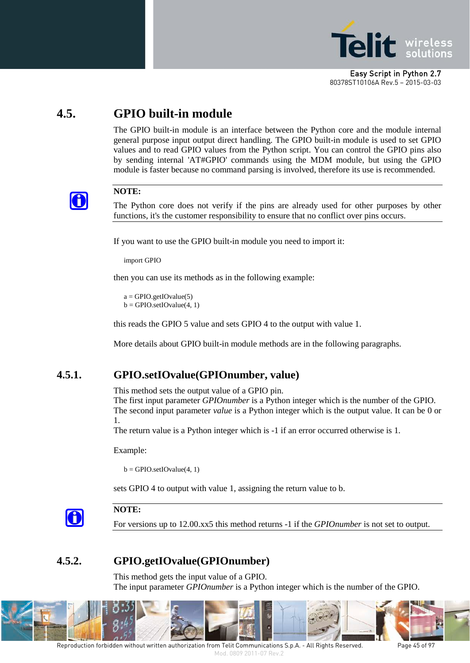

# **4.5. GPIO built-in module**

The GPIO built-in module is an interface between the Python core and the module internal general purpose input output direct handling. The GPIO built-in module is used to set GPIO values and to read GPIO values from the Python script. You can control the GPIO pins also by sending internal 'AT#GPIO' commands using the MDM module, but using the GPIO module is faster because no command parsing is involved, therefore its use is recommended.



#### **NOTE:**

The Python core does not verify if the pins are already used for other purposes by other functions, it's the customer responsibility to ensure that no conflict over pins occurs.

If you want to use the GPIO built-in module you need to import it:

import GPIO

then you can use its methods as in the following example:

 $a =$  GPIO.getIOvalue(5)  $b = GPIO.setIOvalue(4, 1)$ 

this reads the GPIO 5 value and sets GPIO 4 to the output with value 1.

More details about GPIO built-in module methods are in the following paragraphs.

## **4.5.1. GPIO.setIOvalue(GPIOnumber, value)**

This method sets the output value of a GPIO pin.

The first input parameter *GPIOnumber* is a Python integer which is the number of the GPIO. The second input parameter *value* is a Python integer which is the output value. It can be 0 or 1.

The return value is a Python integer which is -1 if an error occurred otherwise is 1.

Example:

 $b = GPIO.setIOvalue(4, 1)$ 

sets GPIO 4 to output with value 1, assigning the return value to b.



#### **NOTE:**

For versions up to 12.00.xx5 this method returns -1 if the *GPIOnumber* is not set to output.

## **4.5.2. GPIO.getIOvalue(GPIOnumber)**

This method gets the input value of a GPIO. The input parameter *GPIOnumber* is a Python integer which is the number of the GPIO.



Reproduction forbidden without written authorization from Telit Communications S.p.A. - All Rights Reserved. Page 45 of 97 Mod. 0809 2011-07 Rev.2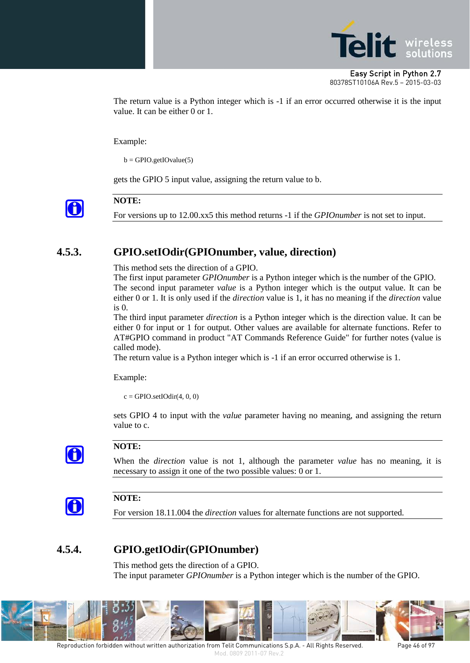

The return value is a Python integer which is -1 if an error occurred otherwise it is the input value. It can be either 0 or 1.

Example:

 $b = GPIO.getIOvalue(5)$ 

gets the GPIO 5 input value, assigning the return value to b.



**NOTE:**

For versions up to 12.00.xx5 this method returns -1 if the *GPIOnumber* is not set to input.

### **4.5.3. GPIO.setIOdir(GPIOnumber, value, direction)**

This method sets the direction of a GPIO.

The first input parameter *GPIOnumber* is a Python integer which is the number of the GPIO. The second input parameter *value* is a Python integer which is the output value. It can be either 0 or 1. It is only used if the *direction* value is 1, it has no meaning if the *direction* value is 0.

The third input parameter *direction* is a Python integer which is the direction value. It can be either 0 for input or 1 for output. Other values are available for alternate functions. Refer to AT#GPIO command in product "AT Commands Reference Guide" for further notes (value is called mode).

The return value is a Python integer which is -1 if an error occurred otherwise is 1.

Example:

 $c = GPIO.setIOdir(4, 0, 0)$ 

sets GPIO 4 to input with the *value* parameter having no meaning, and assigning the return value to c.



#### **NOTE:**

When the *direction* value is not 1, although the parameter *value* has no meaning, it is necessary to assign it one of the two possible values: 0 or 1.



#### **NOTE:**

For version 18.11.004 the *direction* values for alternate functions are not supported.

## **4.5.4. GPIO.getIOdir(GPIOnumber)**

This method gets the direction of a GPIO. The input parameter *GPIOnumber* is a Python integer which is the number of the GPIO.



Reproduction forbidden without written authorization from Telit Communications S.p.A. - All Rights Reserved. Page 46 of 97 Mod. 0809 2011-07 Rev.2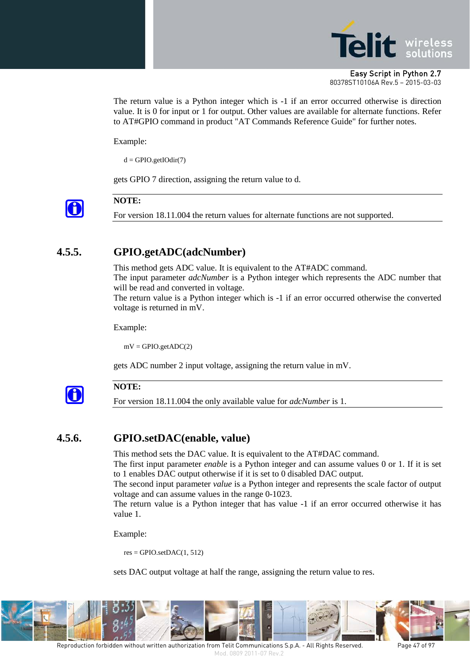

The return value is a Python integer which is -1 if an error occurred otherwise is direction value. It is 0 for input or 1 for output. Other values are available for alternate functions. Refer to AT#GPIO command in product "AT Commands Reference Guide" for further notes.

Example:

 $d = GPIO.getIOdir(7)$ 

gets GPIO 7 direction, assigning the return value to d.



#### **NOTE:**

For version 18.11.004 the return values for alternate functions are not supported.

### **4.5.5. GPIO.getADC(adcNumber)**

This method gets ADC value. It is equivalent to the AT#ADC command.

The input parameter *adcNumber* is a Python integer which represents the ADC number that will be read and converted in voltage.

The return value is a Python integer which is -1 if an error occurred otherwise the converted voltage is returned in mV.

Example:

 $mV = GPIO.getADC(2)$ 

gets ADC number 2 input voltage, assigning the return value in mV.



#### **NOTE:**

For version 18.11.004 the only available value for *adcNumber* is 1.

#### **4.5.6. GPIO.setDAC(enable, value)**

This method sets the DAC value. It is equivalent to the AT#DAC command.

The first input parameter *enable* is a Python integer and can assume values 0 or 1. If it is set to 1 enables DAC output otherwise if it is set to 0 disabled DAC output.

The second input parameter *value* is a Python integer and represents the scale factor of output voltage and can assume values in the range 0-1023.

The return value is a Python integer that has value -1 if an error occurred otherwise it has value 1.

Example:

 $res = GPIO.setDAC(1, 512)$ 

sets DAC output voltage at half the range, assigning the return value to res.



Reproduction forbidden without written authorization from Telit Communications S.p.A. - All Rights Reserved. Page 47 of 97 Mod. 0809 2011-07 Rev.2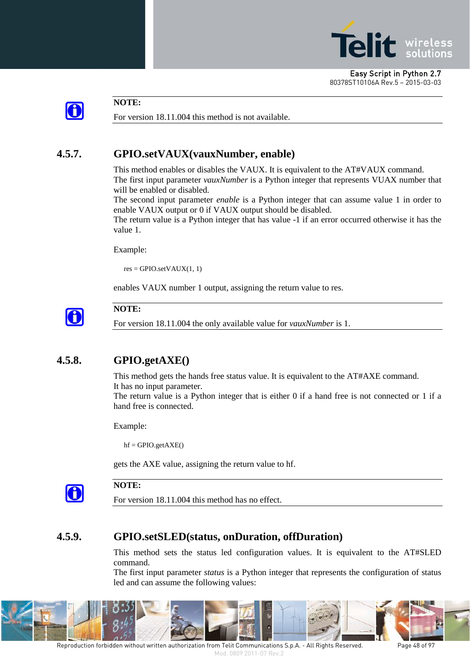



#### **NOTE:**

For version 18.11.004 this method is not available.

# **4.5.7. GPIO.setVAUX(vauxNumber, enable)**

This method enables or disables the VAUX. It is equivalent to the AT#VAUX command. The first input parameter *vauxNumber* is a Python integer that represents VUAX number that will be enabled or disabled.

The second input parameter *enable* is a Python integer that can assume value 1 in order to enable VAUX output or 0 if VAUX output should be disabled.

The return value is a Python integer that has value -1 if an error occurred otherwise it has the value 1.

Example:

 $res = GPIO.setVAUX(1, 1)$ 

enables VAUX number 1 output, assigning the return value to res.



#### **NOTE:**

For version 18.11.004 the only available value for *vauxNumber* is 1.

# **4.5.8. GPIO.getAXE()**

This method gets the hands free status value. It is equivalent to the AT#AXE command. It has no input parameter.

The return value is a Python integer that is either 0 if a hand free is not connected or 1 if a hand free is connected.

Example:

 $hf = GPIO.getAXE()$ 

gets the AXE value, assigning the return value to hf.



#### **NOTE:**

For version 18.11.004 this method has no effect.

#### **4.5.9. GPIO.setSLED(status, onDuration, offDuration)**

This method sets the status led configuration values. It is equivalent to the AT#SLED command.

The first input parameter *status* is a Python integer that represents the configuration of status led and can assume the following values:



Reproduction forbidden without written authorization from Telit Communications S.p.A. - All Rights Reserved. Page 48 of 97 Mod. 0809 2011-07 Rev.2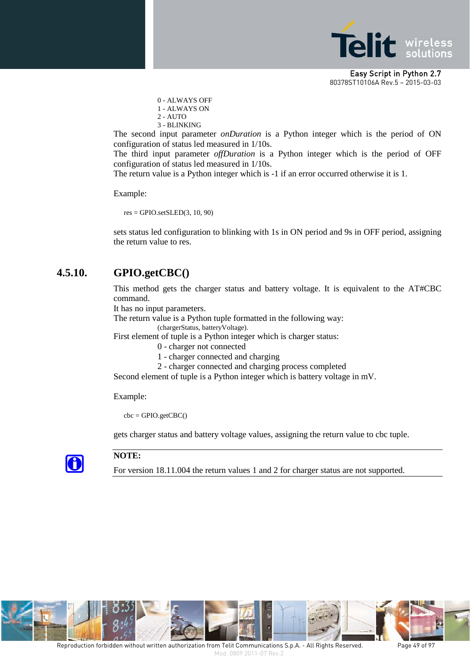

0 - ALWAYS OFF 1 - ALWAYS ON 2 - AUTO 3 - BLINKING

The second input parameter *onDuration* is a Python integer which is the period of ON configuration of status led measured in 1/10s.

The third input parameter *offDuration* is a Python integer which is the period of OFF configuration of status led measured in 1/10s.

The return value is a Python integer which is -1 if an error occurred otherwise it is 1.

Example:

 $res = GPIO.setSLED(3, 10, 90)$ 

sets status led configuration to blinking with 1s in ON period and 9s in OFF period, assigning the return value to res.

#### **4.5.10. GPIO.getCBC()**

This method gets the charger status and battery voltage. It is equivalent to the AT#CBC command.

It has no input parameters.

The return value is a Python tuple formatted in the following way:

(chargerStatus, batteryVoltage).

First element of tuple is a Python integer which is charger status:

0 - charger not connected

- 1 charger connected and charging
- 2 charger connected and charging process completed

Second element of tuple is a Python integer which is battery voltage in mV.

Example:

 $cbc = GPIO.getCBC()$ 

gets charger status and battery voltage values, assigning the return value to cbc tuple.



#### **NOTE:**

For version 18.11.004 the return values 1 and 2 for charger status are not supported.

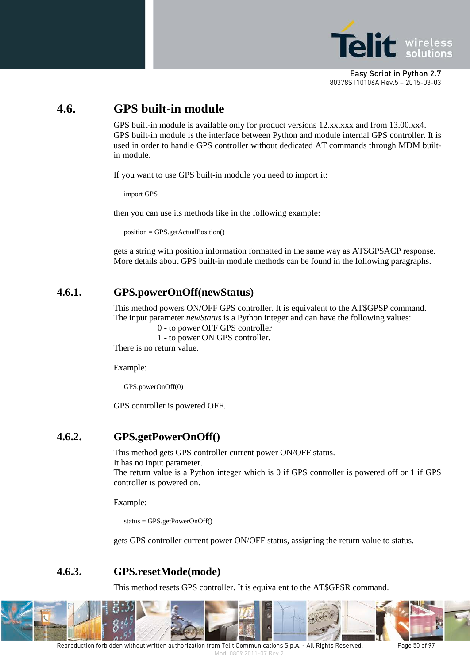

# **4.6. GPS built-in module**

GPS built-in module is available only for product versions 12.xx.xxx and from 13.00.xx4. GPS built-in module is the interface between Python and module internal GPS controller. It is used in order to handle GPS controller without dedicated AT commands through MDM builtin module.

If you want to use GPS built-in module you need to import it:

import GPS

then you can use its methods like in the following example:

position = GPS.getActualPosition()

gets a string with position information formatted in the same way as AT\$GPSACP response. More details about GPS built-in module methods can be found in the following paragraphs.

## **4.6.1. GPS.powerOnOff(newStatus)**

This method powers ON/OFF GPS controller. It is equivalent to the AT\$GPSP command. The input parameter *newStatus* is a Python integer and can have the following values:

0 - to power OFF GPS controller

1 - to power ON GPS controller.

There is no return value.

Example:

GPS.powerOnOff(0)

GPS controller is powered OFF.

#### **4.6.2. GPS.getPowerOnOff()**

This method gets GPS controller current power ON/OFF status. It has no input parameter.

The return value is a Python integer which is 0 if GPS controller is powered off or 1 if GPS controller is powered on.

Example:

status = GPS.getPowerOnOff()

gets GPS controller current power ON/OFF status, assigning the return value to status.

#### **4.6.3. GPS.resetMode(mode)**

This method resets GPS controller. It is equivalent to the AT\$GPSR command.



Reproduction forbidden without written authorization from Telit Communications S.p.A. - All Rights Reserved. Page 50 of 97 Mod. 0809 2011-07 Rev.2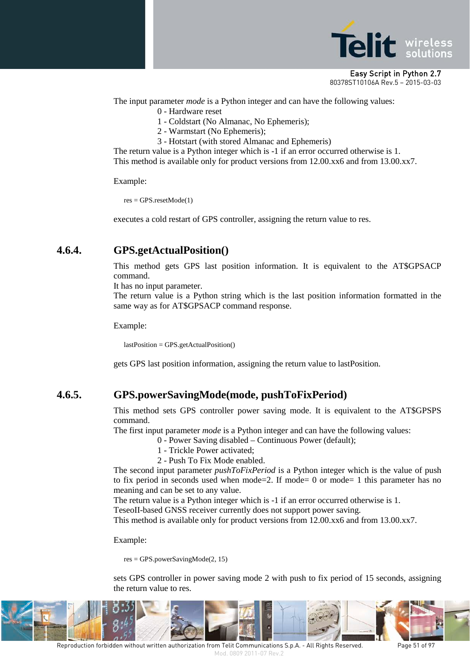

The input parameter *mode* is a Python integer and can have the following values: 0 - Hardware reset

- 1 Coldstart (No Almanac, No Ephemeris);
- 2 Warmstart (No Ephemeris);
- 3 Hotstart (with stored Almanac and Ephemeris)

The return value is a Python integer which is -1 if an error occurred otherwise is 1. This method is available only for product versions from 12.00.xx6 and from 13.00.xx7.

Example:

res = GPS.resetMode(1)

executes a cold restart of GPS controller, assigning the return value to res.

#### **4.6.4. GPS.getActualPosition()**

This method gets GPS last position information. It is equivalent to the AT\$GPSACP command.

It has no input parameter.

The return value is a Python string which is the last position information formatted in the same way as for AT\$GPSACP command response.

Example:

lastPosition = GPS.getActualPosition()

gets GPS last position information, assigning the return value to lastPosition.

# **4.6.5. GPS.powerSavingMode(mode, pushToFixPeriod)**

This method sets GPS controller power saving mode. It is equivalent to the AT\$GPSPS command.

The first input parameter *mode* is a Python integer and can have the following values:

0 - Power Saving disabled – Continuous Power (default);

- 1 Trickle Power activated;
- 2 Push To Fix Mode enabled.

The second input parameter *pushToFixPeriod* is a Python integer which is the value of push to fix period in seconds used when mode=2. If mode= 0 or mode= 1 this parameter has no meaning and can be set to any value.

The return value is a Python integer which is -1 if an error occurred otherwise is 1.

TeseoII-based GNSS receiver currently does not support power saving.

This method is available only for product versions from 12.00.xx6 and from 13.00.xx7.

Example:

res = GPS.powerSavingMode(2, 15)

sets GPS controller in power saving mode 2 with push to fix period of 15 seconds, assigning the return value to res.



Reproduction forbidden without written authorization from Telit Communications S.p.A. - All Rights Reserved. Page 51 of 97 Mod. 0809 2011-07 Rev.2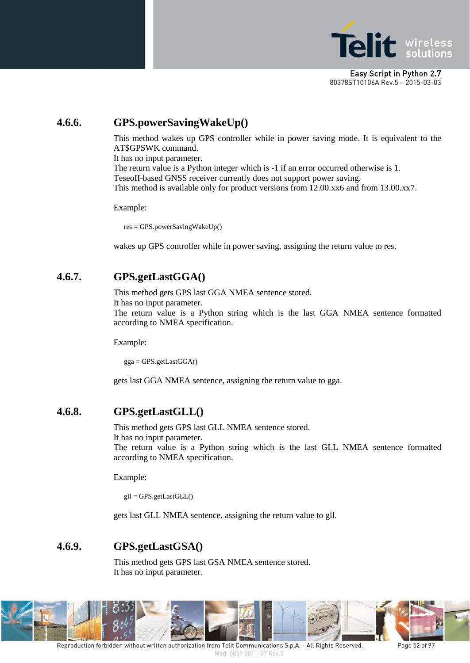

## **4.6.6. GPS.powerSavingWakeUp()**

This method wakes up GPS controller while in power saving mode. It is equivalent to the AT\$GPSWK command.

It has no input parameter.

The return value is a Python integer which is -1 if an error occurred otherwise is 1. TeseoII-based GNSS receiver currently does not support power saving. This method is available only for product versions from 12.00.xx6 and from 13.00.xx7.

Example:

res = GPS.powerSavingWakeUp()

wakes up GPS controller while in power saving, assigning the return value to res.

### **4.6.7. GPS.getLastGGA()**

This method gets GPS last GGA NMEA sentence stored.

It has no input parameter.

The return value is a Python string which is the last GGA NMEA sentence formatted according to NMEA specification.

Example:

gga = GPS.getLastGGA()

gets last GGA NMEA sentence, assigning the return value to gga.

#### **4.6.8. GPS.getLastGLL()**

This method gets GPS last GLL NMEA sentence stored.

It has no input parameter.

The return value is a Python string which is the last GLL NMEA sentence formatted according to NMEA specification.

Example:

gll = GPS.getLastGLL()

gets last GLL NMEA sentence, assigning the return value to gll.

#### **4.6.9. GPS.getLastGSA()**

This method gets GPS last GSA NMEA sentence stored. It has no input parameter.

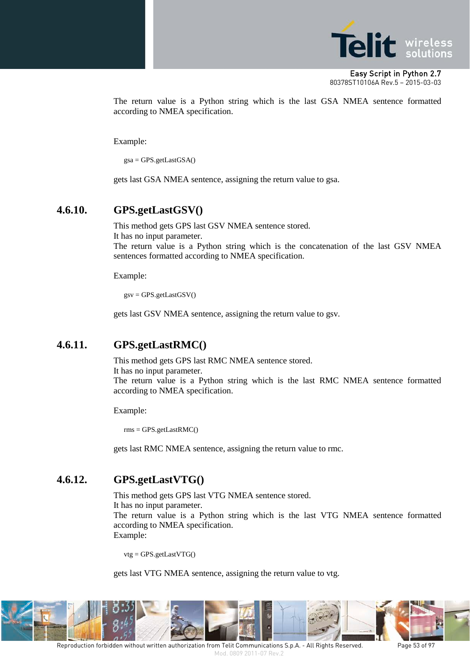

The return value is a Python string which is the last GSA NMEA sentence formatted according to NMEA specification.

Example:

 $gsa = GPS.getLastGSA()$ 

gets last GSA NMEA sentence, assigning the return value to gsa.

#### **4.6.10. GPS.getLastGSV()**

This method gets GPS last GSV NMEA sentence stored.

It has no input parameter.

The return value is a Python string which is the concatenation of the last GSV NMEA sentences formatted according to NMEA specification.

Example:

 $gsv = GPS.getLastGSV()$ 

gets last GSV NMEA sentence, assigning the return value to gsv.

## **4.6.11. GPS.getLastRMC()**

This method gets GPS last RMC NMEA sentence stored. It has no input parameter. The return value is a Python string which is the last RMC NMEA sentence formatted according to NMEA specification.

Example:

rms = GPS.getLastRMC()

gets last RMC NMEA sentence, assigning the return value to rmc.

#### **4.6.12. GPS.getLastVTG()**

This method gets GPS last VTG NMEA sentence stored.

It has no input parameter.

The return value is a Python string which is the last VTG NMEA sentence formatted according to NMEA specification. Example:

vtg = GPS.getLastVTG()

gets last VTG NMEA sentence, assigning the return value to vtg.

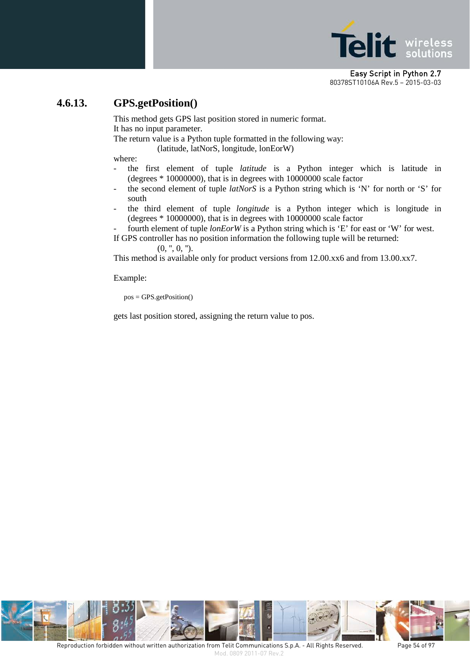

#### **4.6.13. GPS.getPosition()**

This method gets GPS last position stored in numeric format. It has no input parameter.

The return value is a Python tuple formatted in the following way:

(latitude, latNorS, longitude, lonEorW)

where:

- the first element of tuple *latitude* is a Python integer which is latitude in (degrees \* 10000000), that is in degrees with 10000000 scale factor
- the second element of tuple *latNorS* is a Python string which is 'N' for north or 'S' for south
- the third element of tuple *longitude* is a Python integer which is longitude in (degrees \* 10000000), that is in degrees with 10000000 scale factor
- fourth element of tuple *lonEorW* is a Python string which is 'E' for east or 'W' for west.

If GPS controller has no position information the following tuple will be returned:

 $(0, ", 0, ").$ 

This method is available only for product versions from 12.00.xx6 and from 13.00.xx7.

Example:

pos = GPS.getPosition()

gets last position stored, assigning the return value to pos.

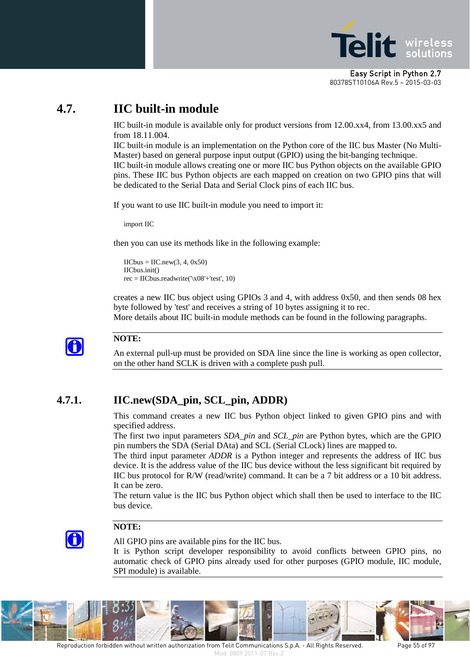

# **4.7. IIC built-in module**

IIC built-in module is available only for product versions from 12.00.xx4, from 13.00.xx5 and from 18.11.004.

IIC built-in module is an implementation on the Python core of the IIC bus Master (No Multi-Master) based on general purpose input output (GPIO) using the bit-banging technique. IIC built-in module allows creating one or more IIC bus Python objects on the available GPIO pins. These IIC bus Python objects are each mapped on creation on two GPIO pins that will be dedicated to the Serial Data and Serial Clock pins of each IIC bus.

If you want to use IIC built-in module you need to import it:

import IIC

then you can use its methods like in the following example:

```
\text{IICbus} = \text{IIC.new}(3, 4, 0x50)IICbus.init()
rec = IICbus.readwrite('\x08'+'test', 10)
```
creates a new IIC bus object using GPIOs 3 and 4, with address 0x50, and then sends 08 hex byte followed by 'test' and receives a string of 10 bytes assigning it to rec.

More details about IIC built-in module methods can be found in the following paragraphs.



#### **NOTE:**

An external pull-up must be provided on SDA line since the line is working as open collector, on the other hand SCLK is driven with a complete push pull.

## **4.7.1. IIC.new(SDA\_pin, SCL\_pin, ADDR)**

This command creates a new IIC bus Python object linked to given GPIO pins and with specified address.

The first two input parameters *SDA\_pin* and *SCL\_pin* are Python bytes, which are the GPIO pin numbers the SDA (Serial DAta) and SCL (Serial CLock) lines are mapped to.

The third input parameter *ADDR* is a Python integer and represents the address of IIC bus device. It is the address value of the IIC bus device without the less significant bit required by IIC bus protocol for R/W (read/write) command. It can be a 7 bit address or a 10 bit address. It can be zero.

The return value is the IIC bus Python object which shall then be used to interface to the IIC bus device.



#### **NOTE:**

All GPIO pins are available pins for the IIC bus.

It is Python script developer responsibility to avoid conflicts between GPIO pins, no automatic check of GPIO pins already used for other purposes (GPIO module, IIC module, SPI module) is available.

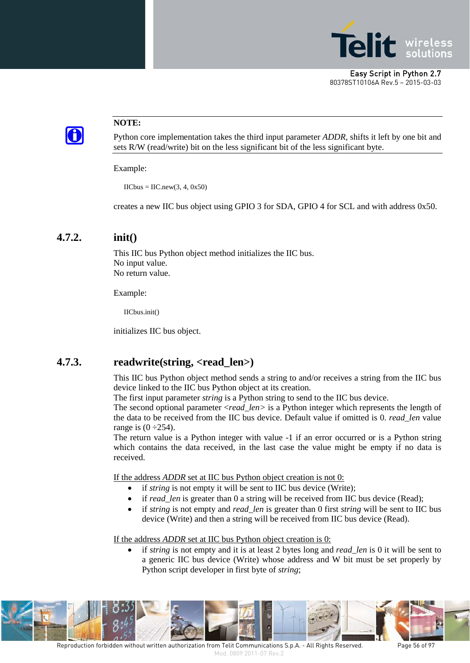



#### **NOTE:**

Python core implementation takes the third input parameter *ADDR,* shifts it left by one bit and sets R/W (read/write) bit on the less significant bit of the less significant byte.

Example:

 $\text{IICbus} = \text{IIC.new}(3, 4, 0x50)$ 

creates a new IIC bus object using GPIO 3 for SDA, GPIO 4 for SCL and with address 0x50.

#### **4.7.2. init()**

This IIC bus Python object method initializes the IIC bus. No input value. No return value.

Example:

IICbus.init()

initializes IIC bus object.

#### **4.7.3. readwrite(string, <read\_len>)**

This IIC bus Python object method sends a string to and/or receives a string from the IIC bus device linked to the IIC bus Python object at its creation.

The first input parameter *string* is a Python string to send to the IIC bus device.

The second optional parameter <*read\_len>* is a Python integer which represents the length of the data to be received from the IIC bus device. Default value if omitted is 0. *read\_len* value range is  $(0-254)$ .

The return value is a Python integer with value -1 if an error occurred or is a Python string which contains the data received, in the last case the value might be empty if no data is received.

If the address *ADDR* set at IIC bus Python object creation is not 0:

- if *string* is not empty it will be sent to IIC bus device (Write);
- if *read\_len* is greater than 0 a string will be received from IIC bus device (Read);
- if *string* is not empty and *read\_len* is greater than 0 first *string* will be sent to IIC bus device (Write) and then a string will be received from IIC bus device (Read).

If the address *ADDR* set at IIC bus Python object creation is 0:

• if *string* is not empty and it is at least 2 bytes long and *read\_len* is 0 it will be sent to a generic IIC bus device (Write) whose address and W bit must be set properly by Python script developer in first byte of *string*;

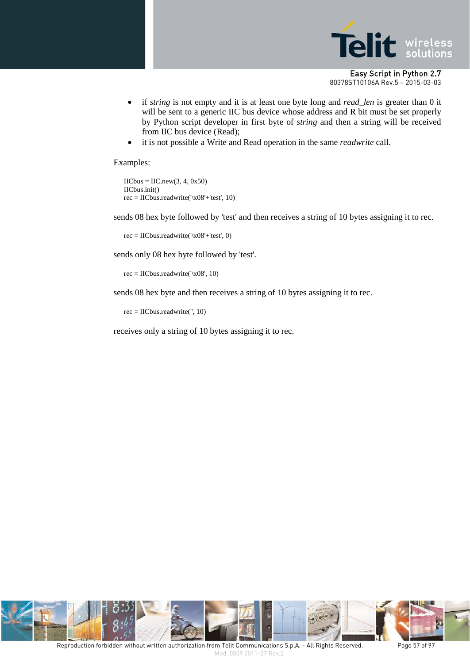

- if *string* is not empty and it is at least one byte long and *read\_len* is greater than 0 it will be sent to a generic IIC bus device whose address and R bit must be set properly by Python script developer in first byte of *string* and then a string will be received from IIC bus device (Read);
- it is not possible a Write and Read operation in the same *readwrite* call.

Examples:

 $\text{IICbus} = \text{IIC.new}(3, 4, 0x50)$ IICbus.init()  $rec = IICbus.readwrite('x08'+'test', 10)$ 

sends 08 hex byte followed by 'test' and then receives a string of 10 bytes assigning it to rec.

rec = IICbus.readwrite('\x08'+'test', 0)

sends only 08 hex byte followed by 'test'.

rec = IICbus.readwrite('\x08', 10)

sends 08 hex byte and then receives a string of 10 bytes assigning it to rec.

rec = IICbus.readwrite('', 10)

receives only a string of 10 bytes assigning it to rec.

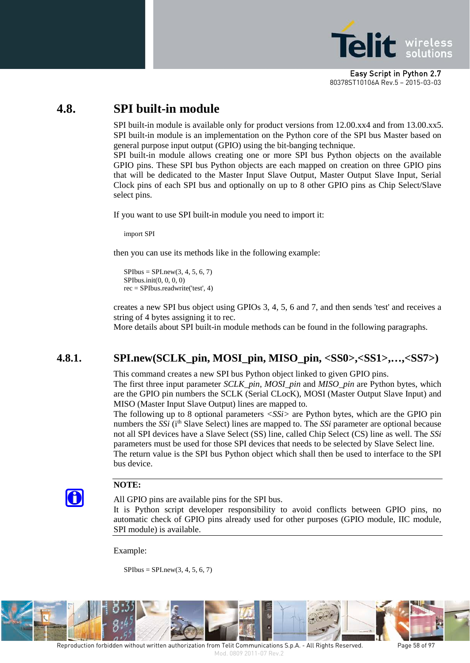

# **4.8. SPI built-in module**

SPI built-in module is available only for product versions from 12.00.xx4 and from 13.00.xx5. SPI built-in module is an implementation on the Python core of the SPI bus Master based on general purpose input output (GPIO) using the bit-banging technique.

SPI built-in module allows creating one or more SPI bus Python objects on the available GPIO pins. These SPI bus Python objects are each mapped on creation on three GPIO pins that will be dedicated to the Master Input Slave Output, Master Output Slave Input, Serial Clock pins of each SPI bus and optionally on up to 8 other GPIO pins as Chip Select/Slave select pins.

If you want to use SPI built-in module you need to import it:

import SPI

then you can use its methods like in the following example:

 $SPIbus = SPI.new(3, 4, 5, 6, 7)$ SPIbus.init(0, 0, 0, 0) rec = SPIbus.readwrite('test', 4)

creates a new SPI bus object using GPIOs 3, 4, 5, 6 and 7, and then sends 'test' and receives a string of 4 bytes assigning it to rec.

More details about SPI built-in module methods can be found in the following paragraphs.

# **4.8.1. SPI.new(SCLK\_pin, MOSI\_pin, MISO\_pin, <SS0>,<SS1>,…,<SS7>)**

This command creates a new SPI bus Python object linked to given GPIO pins. The first three input parameter *SCLK\_pin*, *MOSI\_pin* and *MISO\_pin* are Python bytes, which are the GPIO pin numbers the SCLK (Serial CLocK), MOSI (Master Output Slave Input) and MISO (Master Input Slave Output) lines are mapped to.

The following up to 8 optional parameters *<SSi>* are Python bytes, which are the GPIO pin numbers the *SSi* (ith Slave Select) lines are mapped to. The *SSi* parameter are optional because not all SPI devices have a Slave Select (SS) line, called Chip Select (CS) line as well. The *SSi* parameters must be used for those SPI devices that needs to be selected by Slave Select line. The return value is the SPI bus Python object which shall then be used to interface to the SPI bus device.



#### **NOTE:**

All GPIO pins are available pins for the SPI bus.

It is Python script developer responsibility to avoid conflicts between GPIO pins, no automatic check of GPIO pins already used for other purposes (GPIO module, IIC module, SPI module) is available.

Example:

 $SPIbus = SPI.new(3, 4, 5, 6, 7)$ 

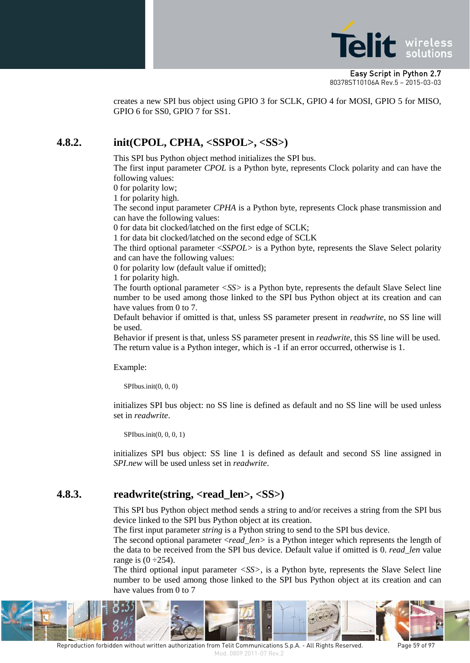

creates a new SPI bus object using GPIO 3 for SCLK, GPIO 4 for MOSI, GPIO 5 for MISO, GPIO 6 for SS0, GPIO 7 for SS1.

#### **4.8.2. init(CPOL, CPHA, <SSPOL>, <SS>)**

This SPI bus Python object method initializes the SPI bus.

The first input parameter *CPOL* is a Python byte, represents Clock polarity and can have the following values:

0 for polarity low;

1 for polarity high.

The second input parameter *CPHA* is a Python byte, represents Clock phase transmission and can have the following values:

0 for data bit clocked/latched on the first edge of SCLK;

1 for data bit clocked/latched on the second edge of SCLK

The third optional parameter <*SSPOL>* is a Python byte, represents the Slave Select polarity and can have the following values:

0 for polarity low (default value if omitted);

1 for polarity high.

The fourth optional parameter *<SS>* is a Python byte, represents the default Slave Select line number to be used among those linked to the SPI bus Python object at its creation and can have values from 0 to 7.

Default behavior if omitted is that, unless SS parameter present in *readwrite*, no SS line will be used.

Behavior if present is that, unless SS parameter present in *readwrite*, this SS line will be used. The return value is a Python integer, which is -1 if an error occurred, otherwise is 1.

Example:

SPIbus.init(0, 0, 0)

initializes SPI bus object: no SS line is defined as default and no SS line will be used unless set in *readwrite*.

SPIbus.init(0, 0, 0, 1)

initializes SPI bus object: SS line 1 is defined as default and second SS line assigned in *SPI.new* will be used unless set in *readwrite*.

#### **4.8.3. readwrite(string, <read\_len>, <SS>)**

This SPI bus Python object method sends a string to and/or receives a string from the SPI bus device linked to the SPI bus Python object at its creation.

The first input parameter *string* is a Python string to send to the SPI bus device.

The second optional parameter <*read\_len>* is a Python integer which represents the length of the data to be received from the SPI bus device. Default value if omitted is 0. *read\_len* value range is  $(0-254)$ .

The third optional input parameter *<SS>*, is a Python byte, represents the Slave Select line number to be used among those linked to the SPI bus Python object at its creation and can have values from 0 to 7

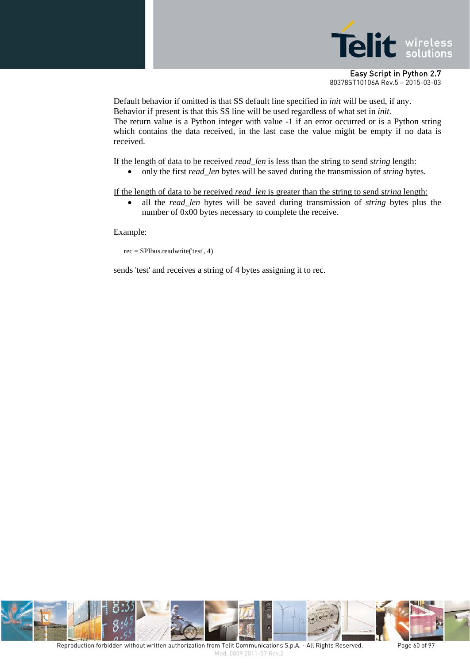

Default behavior if omitted is that SS default line specified in *init* will be used, if any. Behavior if present is that this SS line will be used regardless of what set in *init*. The return value is a Python integer with value -1 if an error occurred or is a Python string which contains the data received, in the last case the value might be empty if no data is received.

If the length of data to be received *read\_len* is less than the string to send *string* length:

• only the first *read\_len* bytes will be saved during the transmission of *string* bytes.

If the length of data to be received *read\_len* is greater than the string to send *string* length:

• all the *read\_len* bytes will be saved during transmission of *string* bytes plus the number of 0x00 bytes necessary to complete the receive.

Example:

```
rec = SPIbus.readwrite('test', 4)
```
sends 'test' and receives a string of 4 bytes assigning it to rec.

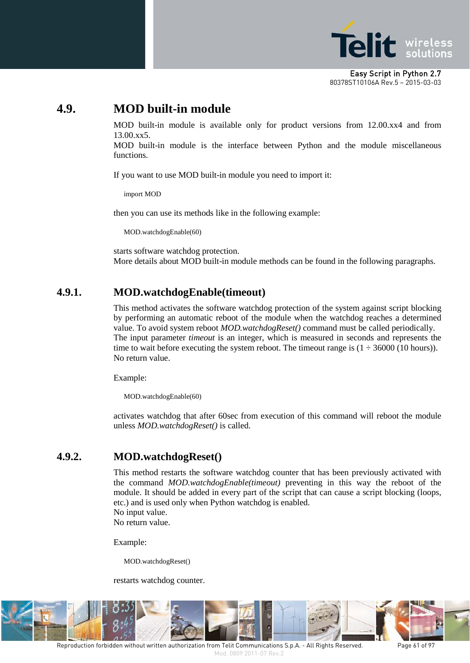

# **4.9. MOD built-in module**

MOD built-in module is available only for product versions from 12.00.xx4 and from 13.00.xx5.

MOD built-in module is the interface between Python and the module miscellaneous functions.

If you want to use MOD built-in module you need to import it:

import MOD

then you can use its methods like in the following example:

MOD.watchdogEnable(60)

starts software watchdog protection. More details about MOD built-in module methods can be found in the following paragraphs.

#### **4.9.1. MOD.watchdogEnable(timeout)**

This method activates the software watchdog protection of the system against script blocking by performing an automatic reboot of the module when the watchdog reaches a determined value. To avoid system reboot *MOD.watchdogReset()* command must be called periodically. The input parameter *timeout* is an integer, which is measured in seconds and represents the time to wait before executing the system reboot. The timeout range is  $(1 \div 36000 \,(10 \text{ hours}))$ . No return value.

Example:

MOD.watchdogEnable(60)

activates watchdog that after 60sec from execution of this command will reboot the module unless *MOD.watchdogReset()* is called.

## **4.9.2. MOD.watchdogReset()**

This method restarts the software watchdog counter that has been previously activated with the command *MOD.watchdogEnable(timeout)* preventing in this way the reboot of the module. It should be added in every part of the script that can cause a script blocking (loops, etc.) and is used only when Python watchdog is enabled. No input value.

No return value.

Example:

MOD.watchdogReset()

restarts watchdog counter.



Reproduction forbidden without written authorization from Telit Communications S.p.A. - All Rights Reserved. Page 61 of 97 Mod. 0809 2011-07 Rev.2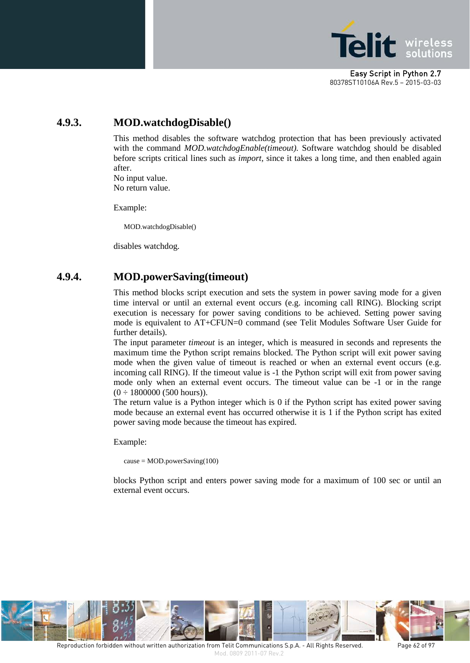

## **4.9.3. MOD.watchdogDisable()**

This method disables the software watchdog protection that has been previously activated with the command *MOD.watchdogEnable(timeout).* Software watchdog should be disabled before scripts critical lines such as *import,* since it takes a long time, and then enabled again after. No input value.

No return value.

Example:

MOD.watchdogDisable()

disables watchdog.

#### **4.9.4. MOD.powerSaving(timeout)**

This method blocks script execution and sets the system in power saving mode for a given time interval or until an external event occurs (e.g. incoming call RING). Blocking script execution is necessary for power saving conditions to be achieved. Setting power saving mode is equivalent to AT+CFUN=0 command (see Telit Modules Software User Guide for further details).

The input parameter *timeout* is an integer, which is measured in seconds and represents the maximum time the Python script remains blocked. The Python script will exit power saving mode when the given value of timeout is reached or when an external event occurs (e.g. incoming call RING). If the timeout value is -1 the Python script will exit from power saving mode only when an external event occurs. The timeout value can be -1 or in the range  $(0 \div 1800000 (500 hours)).$ 

The return value is a Python integer which is 0 if the Python script has exited power saving mode because an external event has occurred otherwise it is 1 if the Python script has exited power saving mode because the timeout has expired.

Example:

 $cause = MOD.powerSaving(100)$ 

blocks Python script and enters power saving mode for a maximum of 100 sec or until an external event occurs.

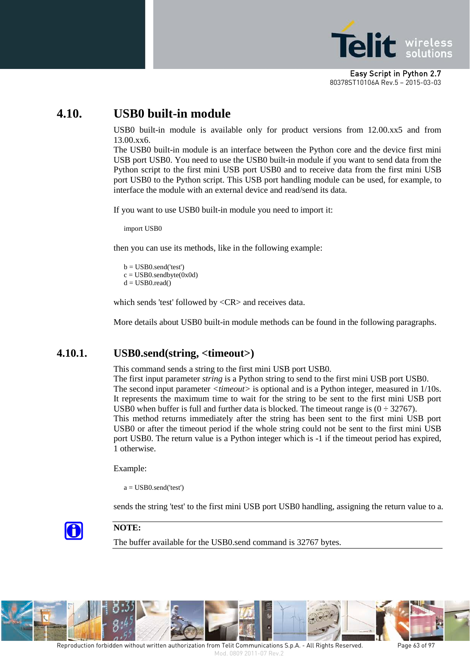

# **4.10. USB0 built-in module**

USB0 built-in module is available only for product versions from 12.00.xx5 and from 13.00.xx6.

The USB0 built-in module is an interface between the Python core and the device first mini USB port USB0. You need to use the USB0 built-in module if you want to send data from the Python script to the first mini USB port USB0 and to receive data from the first mini USB port USB0 to the Python script. This USB port handling module can be used, for example, to interface the module with an external device and read/send its data.

If you want to use USB0 built-in module you need to import it:

import USB0

then you can use its methods, like in the following example:

 $b = USB0.send('test')$  $c = USB0.sendbyte(0x0d)$  $d = USB0.read()$ 

which sends 'test' followed by <CR> and receives data.

More details about USB0 built-in module methods can be found in the following paragraphs.

#### **4.10.1. USB0.send(string, <timeout>)**

This command sends a string to the first mini USB port USB0.

The first input parameter *string* is a Python string to send to the first mini USB port USB0. The second input parameter *<timeout>* is optional and is a Python integer, measured in 1/10s. It represents the maximum time to wait for the string to be sent to the first mini USB port USB0 when buffer is full and further data is blocked. The timeout range is  $(0 \div 32767)$ . This method returns immediately after the string has been sent to the first mini USB port USB0 or after the timeout period if the whole string could not be sent to the first mini USB port USB0. The return value is a Python integer which is -1 if the timeout period has expired, 1 otherwise.

Example:

 $a = USB0.send('test')$ 

sends the string 'test' to the first mini USB port USB0 handling, assigning the return value to a.



#### **NOTE:**

The buffer available for the USB0.send command is 32767 bytes.

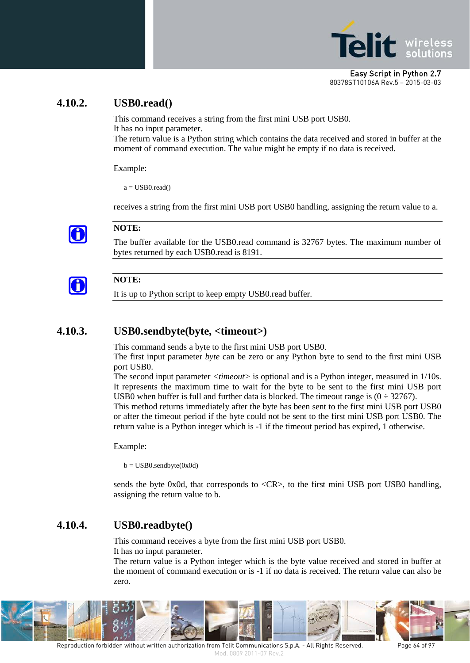

#### **4.10.2. USB0.read()**

This command receives a string from the first mini USB port USB0. It has no input parameter.

The return value is a Python string which contains the data received and stored in buffer at the moment of command execution. The value might be empty if no data is received.

Example:

 $a = USB0.read()$ 

receives a string from the first mini USB port USB0 handling, assigning the return value to a.



#### **NOTE:**

The buffer available for the USB0.read command is 32767 bytes. The maximum number of bytes returned by each USB0.read is 8191.

# G

**NOTE:**

It is up to Python script to keep empty USB0.read buffer.

## **4.10.3. USB0.sendbyte(byte, <timeout>)**

This command sends a byte to the first mini USB port USB0.

The first input parameter *byte* can be zero or any Python byte to send to the first mini USB port USB0.

The second input parameter *<timeout>* is optional and is a Python integer, measured in 1/10s. It represents the maximum time to wait for the byte to be sent to the first mini USB port USB0 when buffer is full and further data is blocked. The timeout range is  $(0 \div 32767)$ .

This method returns immediately after the byte has been sent to the first mini USB port USB0 or after the timeout period if the byte could not be sent to the first mini USB port USB0. The return value is a Python integer which is -1 if the timeout period has expired, 1 otherwise.

Example:

 $b = USB0.sendbyte(0x0d)$ 

sends the byte 0x0d, that corresponds to <CR>, to the first mini USB port USB0 handling, assigning the return value to b.

## **4.10.4. USB0.readbyte()**

This command receives a byte from the first mini USB port USB0.

It has no input parameter.

The return value is a Python integer which is the byte value received and stored in buffer at the moment of command execution or is -1 if no data is received. The return value can also be zero.



Reproduction forbidden without written authorization from Telit Communications S.p.A. - All Rights Reserved. Page 64 of 97 Mod. 0809 2011-07 Rev.2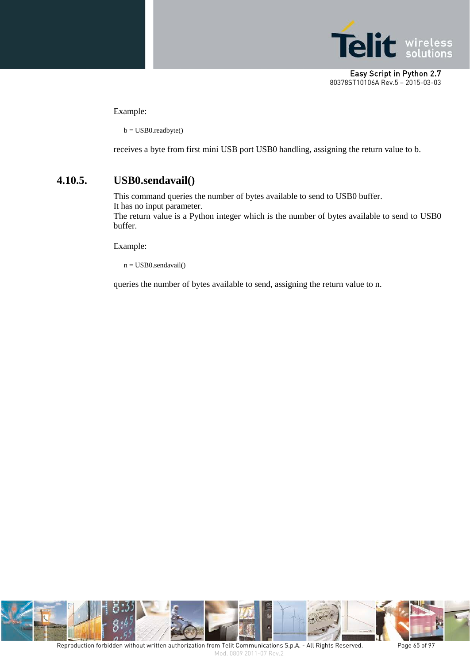

Example:

 $b = USB0.readbyte()$ 

receives a byte from first mini USB port USB0 handling, assigning the return value to b.

#### **4.10.5. USB0.sendavail()**

This command queries the number of bytes available to send to USB0 buffer. It has no input parameter.

The return value is a Python integer which is the number of bytes available to send to USB0 buffer.

Example:

n = USB0.sendavail()

queries the number of bytes available to send, assigning the return value to n.

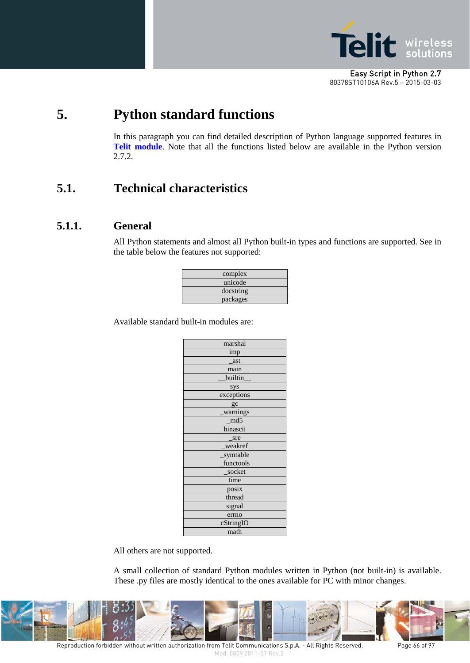

# **5. Python standard functions**

In this paragraph you can find detailed description of Python language supported features in **Telit module**. Note that all the functions listed below are available in the Python version 2.7.2.

# **5.1. Technical characteristics**

#### **5.1.1. General**

All Python statements and almost all Python built-in types and functions are supported. See in the table below the features not supported:

| complex   |  |
|-----------|--|
| unicode   |  |
| docstring |  |
| packages  |  |

Available standard built-in modules are:

All others are not supported.

A small collection of standard Python modules written in Python (not built-in) is available. These .py files are mostly identical to the ones available for PC with minor changes.



Reproduction forbidden without written authorization from Telit Communications S.p.A. - All Rights Reserved. Page 66 of 97 Mod. 0809 2011-07 Rev.2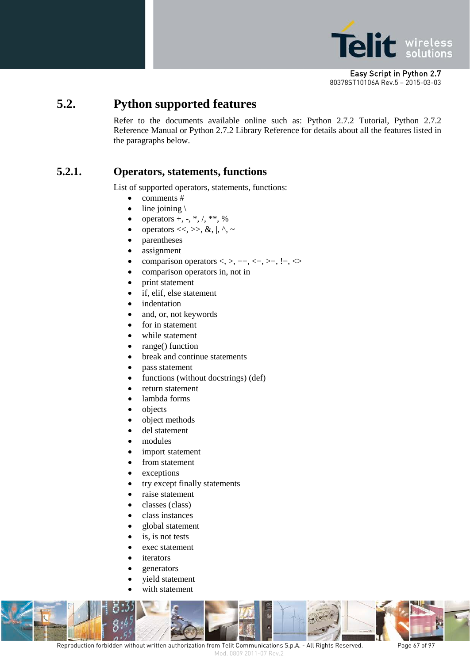

# **5.2. Python supported features**

Refer to the documents available online such as: Python 2.7.2 Tutorial, Python 2.7.2 Reference Manual or Python 2.7.2 Library Reference for details about all the features listed in the paragraphs below.

### **5.2.1. Operators, statements, functions**

List of supported operators, statements, functions:

- comments #
- line joining  $\setminus$
- operators  $+, -, *, /, **, %$
- operators  $<<, >>, \&, |, \land, \sim$
- parentheses
- assignment
- comparison operators  $\langle \rangle$ ,  $\langle =, \rangle$ ,  $\langle =, \rangle$ ,  $\langle =, \rangle$
- comparison operators in, not in
- print statement
- if, elif, else statement
- *indentation*
- and, or, not keywords
- for in statement
- while statement
- range() function
- break and continue statements
- pass statement
- functions (without docstrings) (def)
- return statement
- lambda forms
- objects
- object methods
- del statement
- modules
- import statement
- from statement
- exceptions
- try except finally statements
- raise statement
- classes (class)
- class instances
- global statement
- is, is not tests
- exec statement
- *iterators*
- *generators*
- yield statement
- with statement



Reproduction forbidden without written authorization from Telit Communications S.p.A. - All Rights Reserved. Page 67 of 97

Mod. 0809 2011-07 Rev.2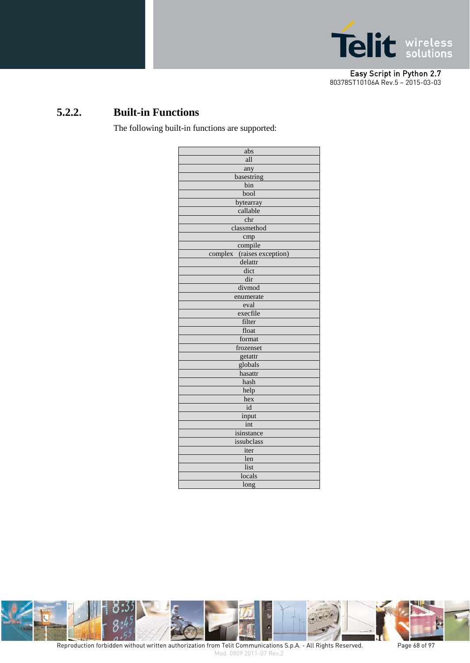

# **5.2.2. Built-in Functions**

The following built-in functions are supported:

| abs                           |
|-------------------------------|
| all                           |
| any                           |
| basestring                    |
| bin                           |
| bool                          |
| bytearray                     |
| callable                      |
| chr                           |
| classmethod                   |
| cmp                           |
| compile                       |
| complex<br>(raises exception) |
| delattr                       |
| dict                          |
| dir                           |
| divmod                        |
| enumerate                     |
| eval                          |
| execfile                      |
| filter                        |
| float                         |
| format                        |
| frozenset                     |
| getattr                       |
| globals                       |
| hasattr                       |
| hash                          |
| help                          |
| hex                           |
| id                            |
| input                         |
| int                           |
| isinstance                    |
| issubclass                    |
| iter                          |
| len                           |
| list                          |
| locals                        |
| long                          |



Reproduction forbidden without written authorization from Telit Communications S.p.A. - All Rights Reserved. Page 68 of 97 Mod. 0809 2011-07 Rev.2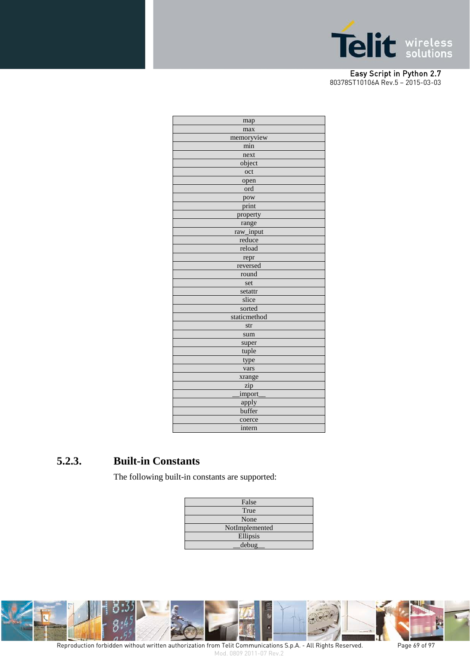

| map          |
|--------------|
| max          |
| memoryview   |
| min          |
| next         |
| object       |
| oct          |
| open         |
| ord          |
| pow          |
| print        |
| property     |
| range        |
| raw_input    |
| reduce       |
| reload       |
| repr         |
| reversed     |
| round        |
| set          |
| setattr      |
| slice        |
| sorted       |
| staticmethod |
| str          |
| sum          |
| super        |
| tuple        |
| type         |
| vars         |
| xrange       |
| zip          |
| import       |
| apply        |
| buffer       |
| coerce       |
| intern       |
|              |

### **5.2.3. Built-in Constants**

The following built-in constants are supported:

| False          |
|----------------|
| True           |
| None           |
| NotImplemented |
| Ellipsis       |
| debug          |



Mod. 0809 2011-07 Rev.2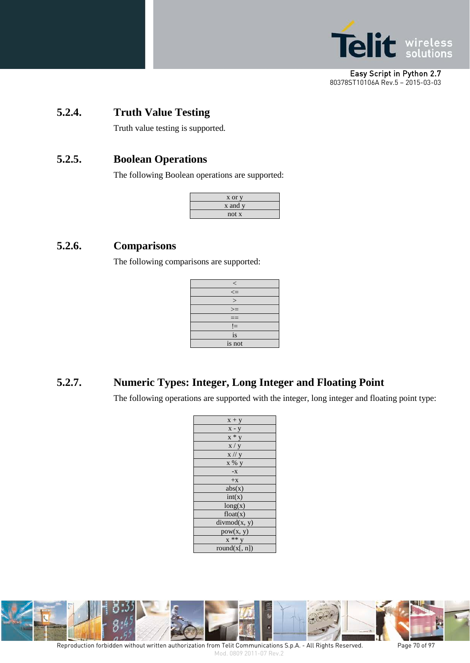

# **5.2.4. Truth Value Testing**

Truth value testing is supported.

## **5.2.5. Boolean Operations**

The following Boolean operations are supported:

| x or y  |
|---------|
| x and y |
| not x   |

### **5.2.6. Comparisons**

The following comparisons are supported:

| $\,<\,$ |
|---------|
| $\leq$  |
| $\geq$  |
| $>=$    |
|         |
| $!=$    |
| is      |
| is not  |

## **5.2.7. Numeric Types: Integer, Long Integer and Floating Point**

The following operations are supported with the integer, long integer and floating point type:

| $x + y$       |
|---------------|
| $x - y$       |
| $x * y$       |
| x / y         |
| $x$ // $y$    |
| x % y         |
| $-X$          |
| $+X$          |
| abs(x)        |
| int(x)        |
| long(x)       |
| float(x)      |
| divmod(x, y)  |
| pow(x, y)     |
| $x**y$        |
| round(x[, n]) |



Mod. 0809 2011-07 Rev.2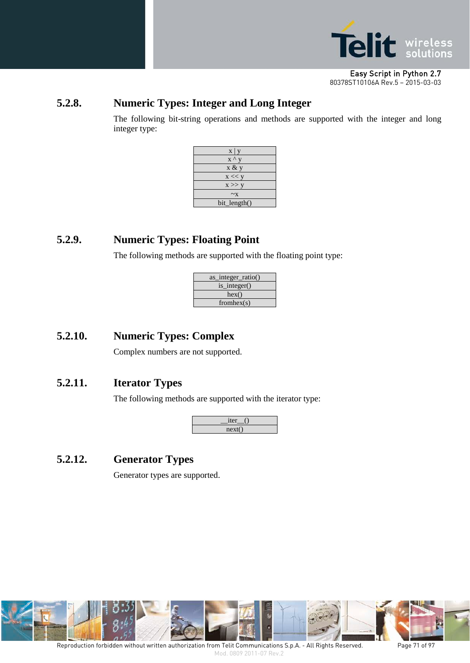

## **5.2.8. Numeric Types: Integer and Long Integer**

The following bit-string operations and methods are supported with the integer and long integer type:



## **5.2.9. Numeric Types: Floating Point**

The following methods are supported with the floating point type:

| as_integer_ratio() |
|--------------------|
| is_integer()       |
| hex()              |
| from hex(s)        |

## **5.2.10. Numeric Types: Complex**

Complex numbers are not supported.

## **5.2.11. Iterator Types**

The following methods are supported with the iterator type:



# **5.2.12. Generator Types**

Generator types are supported.

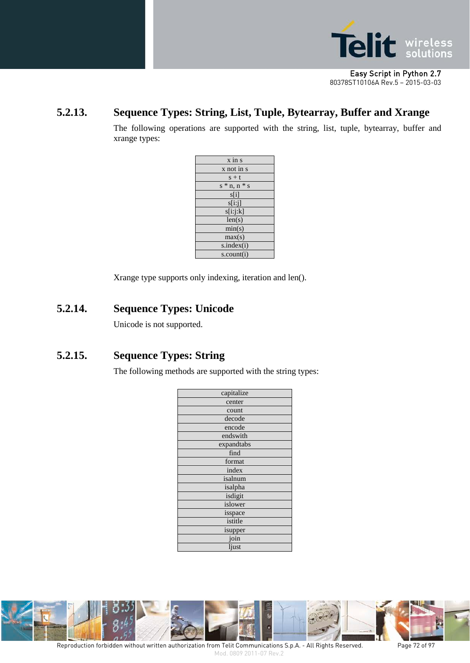

## **5.2.13. Sequence Types: String, List, Tuple, Bytearray, Buffer and Xrange**

The following operations are supported with the string, list, tuple, bytearray, buffer and xrange types:

| $\overline{x}$ in $\overline{s}$ |
|----------------------------------|
| x not in s                       |
| $s + t$                          |
| $s * n, n * s$                   |
| s[i]                             |
| s[i:j]                           |
| s[i:j:k]                         |
| len(s)                           |
| min(s)                           |
| max(s)                           |
| s.index(i)                       |
| s.count(i)                       |

Xrange type supports only indexing, iteration and len().

# **5.2.14. Sequence Types: Unicode**

Unicode is not supported.

# **5.2.15. Sequence Types: String**

The following methods are supported with the string types:

| capitalize |
|------------|
| center     |
| count      |
| decode     |
| encode     |
| endswith   |
| expandtabs |
| find       |
| format     |
| index      |
| isalnum    |
| isalpha    |
| isdigit    |
| islower    |
| isspace    |
| istitle    |
| isupper    |
| join       |
| ljust      |
|            |



Reproduction forbidden without written authorization from Telit Communications S.p.A. - All Rights Reserved. Page 72 of 97 Mod. 0809 2011-07 Rev.2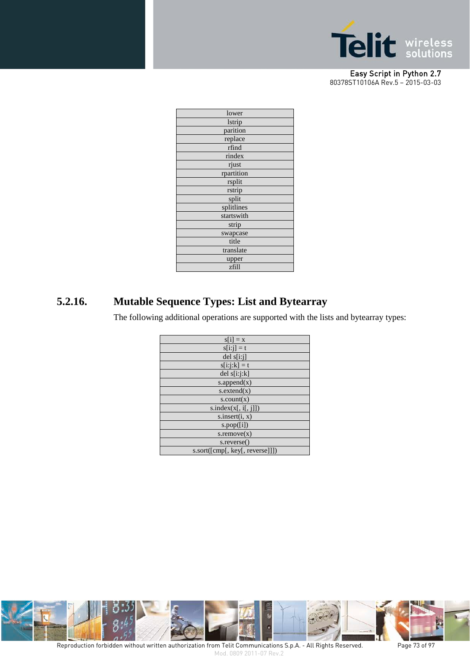

| lower         |
|---------------|
| <b>lstrip</b> |
| parition      |
| replace       |
| rfind         |
| rindex        |
| rjust         |
| rpartition    |
| rsplit        |
| rstrip        |
| split         |
| splitlines    |
| startswith    |
| strip         |
| swapcase      |
| title         |
| translate     |
| upper         |
| zfill         |
|               |

# **5.2.16. Mutable Sequence Types: List and Bytearray**

The following additional operations are supported with the lists and bytearray types:

| $s[i] = x$                      |
|---------------------------------|
| $s[i:j] = t$                    |
| $del$ s[i:j]                    |
| $s[i:j:k] = t$                  |
| del $s[i:j:k]$                  |
| s.append $(x)$                  |
| s. extend(x)                    |
| $s$ .count $(x)$                |
| s.index(x[, i[, j]])            |
| s.insert(i, x)                  |
| s.pop([i])                      |
| $s$ . remove $(x)$              |
| s.reverse()                     |
| s.sort([cmp[, key[, reverse]]]) |



Reproduction forbidden without written authorization from Telit Communications S.p.A. - All Rights Reserved. Page 73 of 97 Mod. 0809 2011-07 Rev.2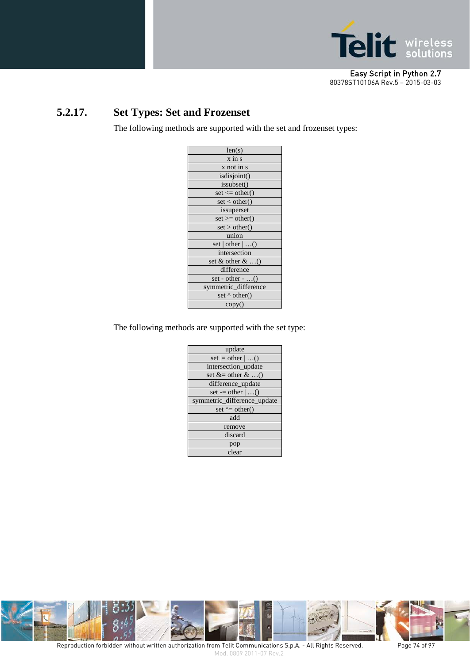

# **5.2.17. Set Types: Set and Frozenset**

The following methods are supported with the set and frozenset types:

| len(s)                           |
|----------------------------------|
| $\overline{x}$ in $\overline{s}$ |
| x not in s                       |
| isdisjoint()                     |
| issubset()                       |
| $set \leq other()$               |
| set < other()                    |
| issuperset                       |
| $set \mathcal{B} = other()$      |
| set > other()                    |
| union                            |
| set   other $ ()$                |
| intersection                     |
| set $\&$ other $\&$ ()           |
| difference                       |
| set - other - $\dots()$          |
| symmetric_difference             |
| set $\wedge$ other()             |
| copy()                           |

The following methods are supported with the set type:

| update                      |
|-----------------------------|
| set $=$ other $ ()$         |
| intersection_update         |
| set $&=$ other $&\dots$     |
| difference_update           |
| set $-$ other $ $ ()        |
| symmetric_difference_update |
| set $\uparrow$ = other()    |
| add                         |
| remove                      |
| discard                     |
| pop                         |
| clear                       |



Reproduction forbidden without written authorization from Telit Communications S.p.A. - All Rights Reserved. Page 74 of 97 Mod. 0809 2011-07 Rev.2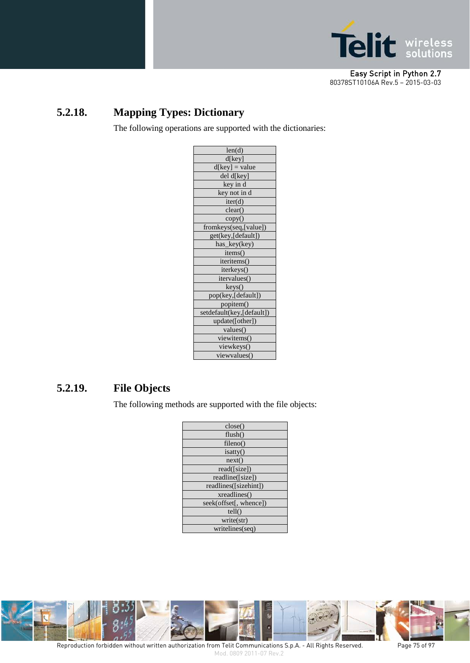

# **5.2.18. Mapping Types: Dictionary**

The following operations are supported with the dictionaries:

# **5.2.19. File Objects**

The following methods are supported with the file objects:

| close()                |
|------------------------|
| flush()                |
| fileno()               |
| isatty()               |
| next()                 |
| read([size])           |
| readline([size])       |
| readlines([sizehint])  |
| xreadlines()           |
| seek(offset[, whence]) |
| tell()                 |
| write(str)             |
| writelines(seq)        |
|                        |



Reproduction forbidden without written authorization from Telit Communications S.p.A. - All Rights Reserved. Page 75 of 97 Mod. 0809 2011-07 Rev.2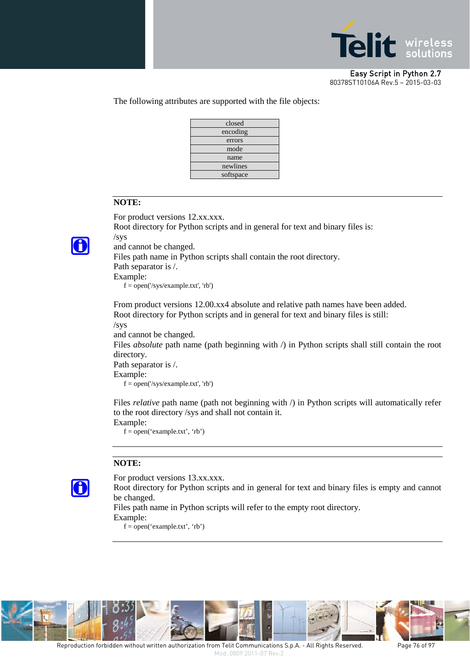

The following attributes are supported with the file objects:



#### **NOTE:**

For product versions 12.xx.xxx.



Root directory for Python scripts and in general for text and binary files is: /sys and cannot be changed.

Files path name in Python scripts shall contain the root directory.

Path separator is /.

Example:

f = open('/sys/example.txt', 'rb')

From product versions 12.00.xx4 absolute and relative path names have been added. Root directory for Python scripts and in general for text and binary files is still:

/sys

and cannot be changed.

Files *absolute* path name (path beginning with /) in Python scripts shall still contain the root directory.

Path separator is /.

Example:

 $f = open('sys/example.txt', 'rb')$ 

Files *relative* path name (path not beginning with /) in Python scripts will automatically refer to the root directory /sys and shall not contain it.

Example: f = open('example.txt', 'rb')

#### **NOTE:**



For product versions 13.xx.xxx. Root directory for Python scripts and in general for text and binary files is empty and cannot be changed.

Files path name in Python scripts will refer to the empty root directory. Example:

 $f = open('example.txt', 'rb')$ 

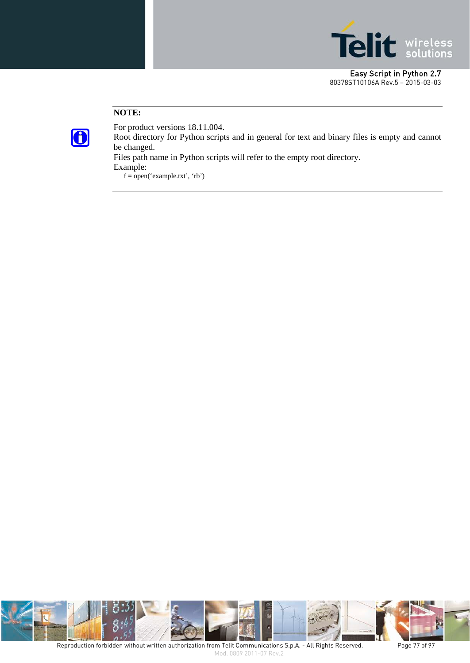

#### **NOTE:**



For product versions 18.11.004. Root directory for Python scripts and in general for text and binary files is empty and cannot be changed.

Files path name in Python scripts will refer to the empty root directory.

Example:

 $f = open('example.txt', 'rb')$ 

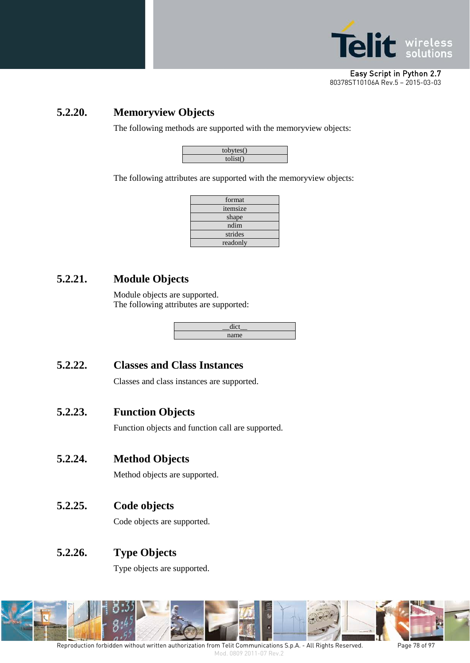

### **5.2.20. Memoryview Objects**

The following methods are supported with the memoryview objects:

| tobytes()         |
|-------------------|
| $\text{tolist}()$ |

The following attributes are supported with the memoryview objects:

| format   |
|----------|
| itemsize |
| shape    |
| ndim     |
| strides  |
| readonly |

## **5.2.21. Module Objects**

Module objects are supported. The following attributes are supported:

| name |
|------|

#### **5.2.22. Classes and Class Instances**

Classes and class instances are supported.

#### **5.2.23. Function Objects**

Function objects and function call are supported.

#### **5.2.24. Method Objects**

Method objects are supported.

#### **5.2.25. Code objects**

Code objects are supported.

#### **5.2.26. Type Objects**

Type objects are supported.

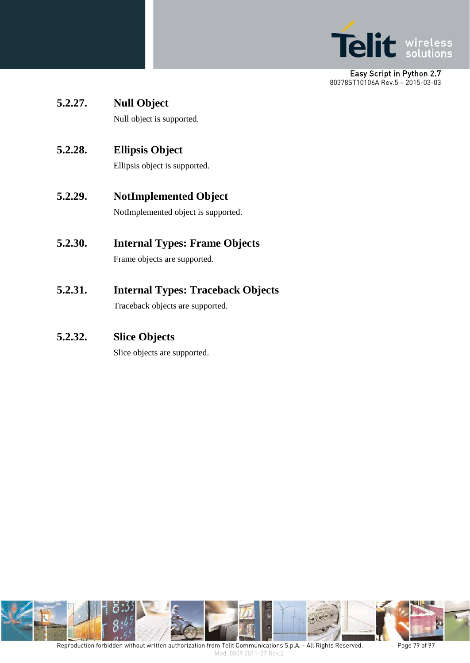

**5.2.27. Null Object**

Null object is supported.

**5.2.28. Ellipsis Object**

Ellipsis object is supported.

**5.2.29. NotImplemented Object**

NotImplemented object is supported.

**5.2.30. Internal Types: Frame Objects**

Frame objects are supported.

**5.2.31. Internal Types: Traceback Objects**

Traceback objects are supported.

**5.2.32. Slice Objects**

Slice objects are supported.

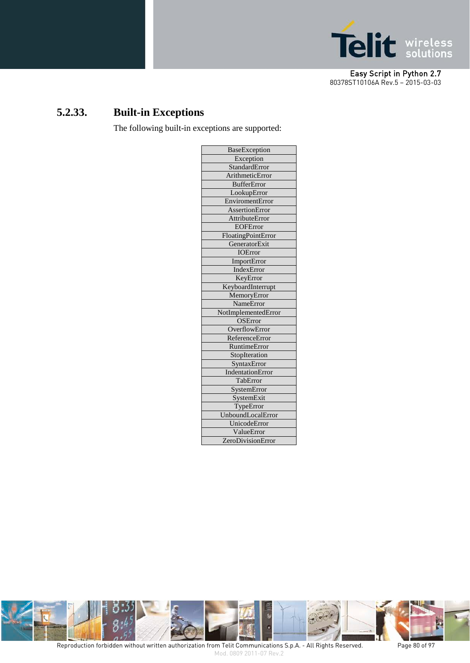

# **5.2.33. Built-in Exceptions**

The following built-in exceptions are supported:

| <b>BaseException</b>  |
|-----------------------|
| Exception             |
| StandardError         |
| ArithmeticError       |
| <b>BufferError</b>    |
| LookupError           |
| EnviromentError       |
| AssertionError        |
| <b>AttributeError</b> |
| <b>EOFError</b>       |
| FloatingPointError    |
| GeneratorExit         |
| <b>IOError</b>        |
| ImportError           |
| IndexError            |
| KeyError              |
| KeyboardInterrupt     |
| MemoryError           |
| NameError             |
| NotImplementedError   |
| <b>OSError</b>        |
| OverflowError         |
| ReferenceError        |
| RuntimeError          |
| StopIteration         |
| SyntaxError           |
| IndentationError      |
| TabError              |
| SystemError           |
| SystemExit            |
| TypeError             |
| UnboundLocalError     |
| UnicodeError          |
| ValueError            |
| ZeroDivisionError     |



Reproduction forbidden without written authorization from Telit Communications S.p.A. - All Rights Reserved. Page 80 of 97 Mod. 0809 2011-07 Rev.2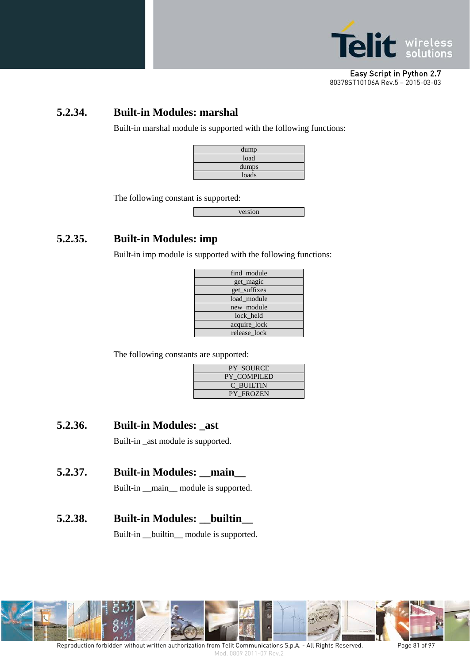

#### **5.2.34. Built-in Modules: marshal**

Built-in marshal module is supported with the following functions:

| dump  |  |
|-------|--|
| load  |  |
| dumps |  |
| loads |  |

The following constant is supported:

version

## **5.2.35. Built-in Modules: imp**

Built-in imp module is supported with the following functions:

| find_module  |
|--------------|
| get_magic    |
| get_suffixes |
| load module  |
| new_module   |
| lock held    |
| acquire_lock |
| release lock |
|              |

The following constants are supported:

| <b>PY SOURCE</b>   |
|--------------------|
| <b>PY COMPILED</b> |
| C BUILTIN          |
| <b>PY FROZEN</b>   |

#### **5.2.36. Built-in Modules: \_ast**

Built-in \_ast module is supported.

#### **5.2.37. Built-in Modules: \_\_main\_\_**

Built-in \_\_main\_\_ module is supported.

#### **5.2.38. Built-in Modules: \_\_builtin\_\_**

Built-in \_\_builtin\_\_ module is supported.

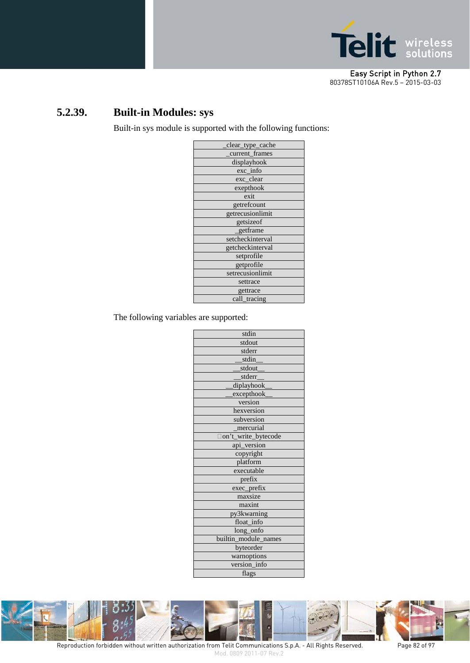

# **5.2.39. Built-in Modules: sys**

Built-in sys module is supported with the following functions:

| clear_type_cache |
|------------------|
| current_frames   |
| displayhook      |
| exc_info         |
| exc_clear        |
| exepthook        |
| exit             |
| getrefcount      |
| getrecusionlimit |
| getsizeof        |
| getframe         |
| setcheckinterval |
| getcheckinterval |
| setprofile       |
| getprofile       |
| setrecusionlimit |
| settrace         |
| gettrace         |
| call_tracing     |
|                  |

The following variables are supported:



Reproduction forbidden without written authorization from Telit Communications S.p.A. - All Rights Reserved. Page 82 of 97 Mod. 0809 2011-07 Rev.2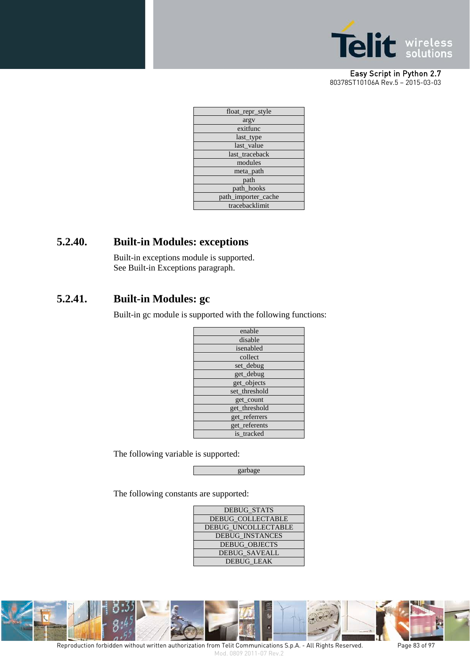

| float_repr_style    |
|---------------------|
| argy                |
| exitfunc            |
| last_type           |
| last_value          |
| last traceback      |
| modules             |
| meta_path           |
| path                |
| path hooks          |
| path_importer_cache |
| tracebacklimit      |
|                     |

### **5.2.40. Built-in Modules: exceptions**

Built-in exceptions module is supported. See Built-in Exceptions paragraph.

## **5.2.41. Built-in Modules: gc**

Built-in gc module is supported with the following functions:

| enable        |
|---------------|
| disable       |
| isenabled     |
| collect       |
| set_debug     |
| get_debug     |
| get_objects   |
| set_threshold |
| get_count     |
| get_threshold |
| get_referrers |
| get_referents |
| is tracked    |
|               |

The following variable is supported:

garbage

The following constants are supported:

| <b>DEBUG STATS</b>         |  |
|----------------------------|--|
| <b>DEBUG COLLECTABLE</b>   |  |
| <b>DEBUG UNCOLLECTABLE</b> |  |
| <b>DEBUG INSTANCES</b>     |  |
| <b>DEBUG OBJECTS</b>       |  |
| <b>DEBUG SAVEALL</b>       |  |
| <b>DEBUG LEAK</b>          |  |



Reproduction forbidden without written authorization from Telit Communications S.p.A. - All Rights Reserved. Page 83 of 97 Mod. 0809 2011-07 Rev.2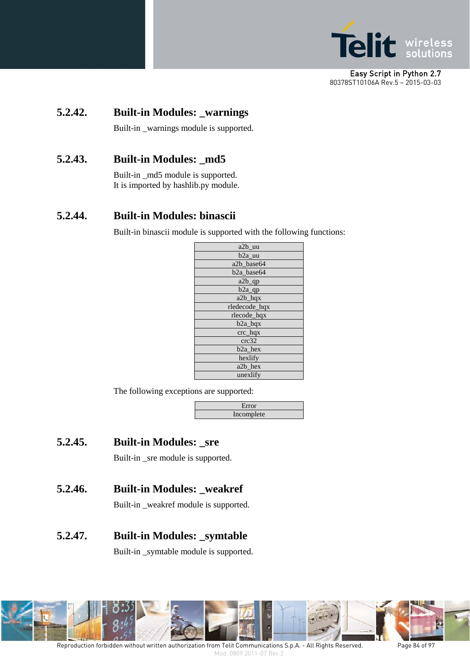

### **5.2.42. Built-in Modules: \_warnings**

Built-in \_warnings module is supported.

#### **5.2.43. Built-in Modules: \_md5**

Built-in \_md5 module is supported. It is imported by hashlib.py module.

#### **5.2.44. Built-in Modules: binascii**

Built-in binascii module is supported with the following functions:

| a2b_uu                 |
|------------------------|
| b <sub>2</sub> a uu    |
| a2b base64             |
| b <sub>2a_base64</sub> |
| a2b_qp                 |
| $b2a$ <sup>o</sup>     |
| $a2b$ hqx              |
| rledecode_hqx          |
| rlecode_hqx            |
| $b2a$ hqx              |
| $\text{crc}\_$ hqx     |
| crc32                  |
| b <sub>2</sub> a hex   |
| hexlify                |
| a2b_hex                |
| unexlify               |

The following exceptions are supported:

| Error      |  |
|------------|--|
| Incomplete |  |
|            |  |

**5.2.45. Built-in Modules: \_sre**

Built-in \_sre module is supported.

**5.2.46. Built-in Modules: \_weakref**

Built-in \_weakref module is supported.

**5.2.47. Built-in Modules: \_symtable**

Built-in \_symtable module is supported.

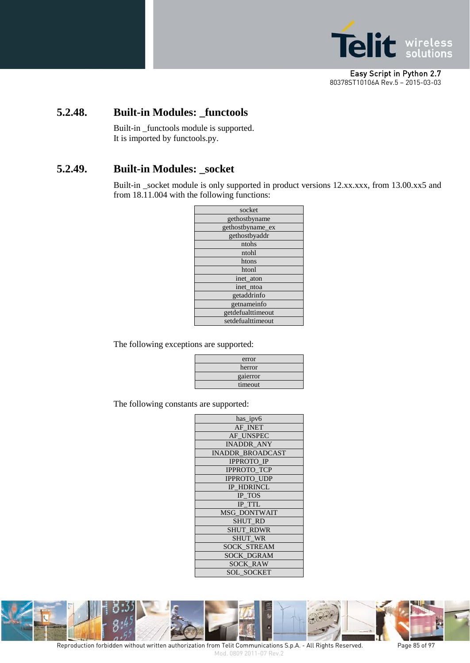

#### **5.2.48. Built-in Modules: \_functools**

Built-in \_functools module is supported. It is imported by functools.py.

#### **5.2.49. Built-in Modules: \_socket**

Built-in \_socket module is only supported in product versions 12.xx.xxx, from 13.00.xx5 and from 18.11.004 with the following functions:

The following exceptions are supported:

| error    |  |
|----------|--|
| herror   |  |
| gaierror |  |
| timeout  |  |

The following constants are supported:

| has_ipv6                |
|-------------------------|
| AF INET                 |
| AF UNSPEC               |
| <b>INADDR ANY</b>       |
| <b>INADDR BROADCAST</b> |
| <b>IPPROTO IP</b>       |
| <b>IPPROTO TCP</b>      |
| <b>IPPROTO UDP</b>      |
| <b>IP HDRINCL</b>       |
| IP TOS                  |
| <b>IP TTL</b>           |
| <b>MSG DONTWAIT</b>     |
| <b>SHUT RD</b>          |
| <b>SHUT RDWR</b>        |
| <b>SHUT WR</b>          |
| <b>SOCK STREAM</b>      |
| <b>SOCK DGRAM</b>       |
| <b>SOCK RAW</b>         |
| <b>SOL SOCKET</b>       |



Reproduction forbidden without written authorization from Telit Communications S.p.A. - All Rights Reserved. Page 85 of 97 Mod. 0809 2011-07 Rev.2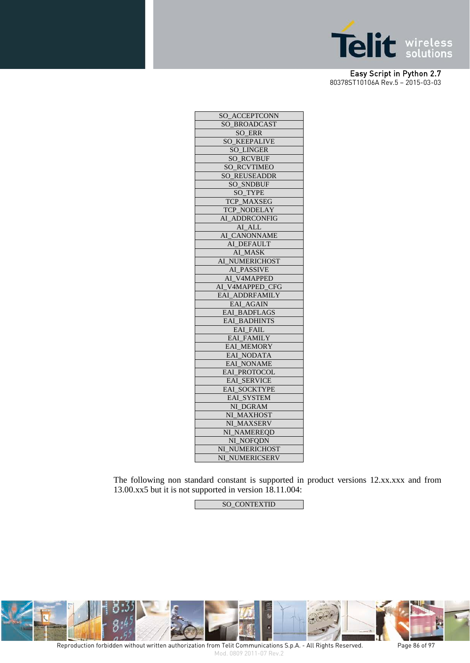

| SO_ACCEPTCONN       |
|---------------------|
| SO_BROADCAST        |
| SO ERR              |
| <b>SO KEEPALIVE</b> |
| <b>SO_LINGER</b>    |
| <b>SO_RCVBUF</b>    |
| SO_RCVTIMEO         |
| <b>SO REUSEADDR</b> |
| <b>SO SNDBUF</b>    |
| <b>SO TYPE</b>      |
| TCP_MAXSEG          |
| TCP_NODELAY         |
| AI_ADDRCONFIG       |
| AI ALL              |
| AI_CANONNAME        |
| AI DEFAULT          |
| AI_MASK             |
| AI_NUMERICHOST      |
| AI_PASSIVE          |
| AI_V4MAPPED         |
| AI_V4MAPPED_CFG     |
| EAI ADDRFAMILY      |
| EAI_AGAIN           |
| EAL_BADFLAGS        |
| <b>EAI BADHINTS</b> |
| <b>EAI FAIL</b>     |
| <b>EAI FAMILY</b>   |
| EAI_MEMORY          |
| EAI_NODATA          |
| EAI_NONAME          |
| EAI_PROTOCOL        |
| <b>EAL_SERVICE</b>  |
| <b>EAI SOCKTYPE</b> |
| EAI_SYSTEM          |
| NI_DGRAM            |
| NI MAXHOST          |
| NI MAXSERV          |
| NI_NAMEREQD         |
| NI_NOFQDN           |
| NI_NUMERICHOST      |
| NI_NUMERICSERV      |

The following non standard constant is supported in product versions 12.xx.xxx and from 13.00.xx5 but it is not supported in version 18.11.004:

SO\_CONTEXTID



Reproduction forbidden without written authorization from Telit Communications S.p.A. - All Rights Reserved. Page 86 of 97 Mod. 0809 2011-07 Rev.2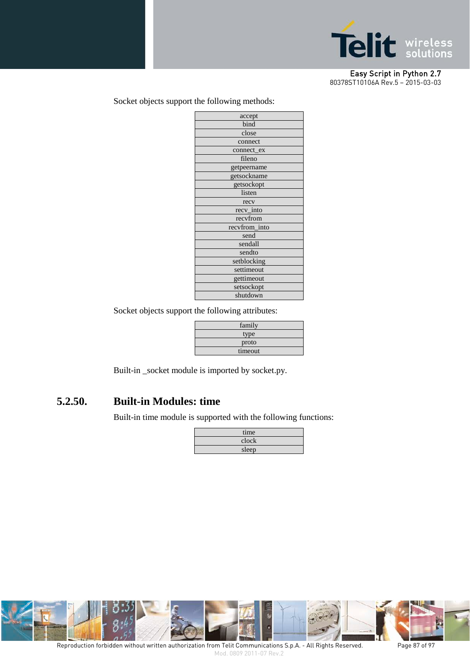

#### Socket objects support the following methods:

Socket objects support the following attributes:

| family  |  |  |
|---------|--|--|
| type    |  |  |
| proto   |  |  |
| timeout |  |  |

Built-in \_socket module is imported by socket.py.

#### **5.2.50. Built-in Modules: time**

Built-in time module is supported with the following functions:

| time  |  |
|-------|--|
| clock |  |
| sleep |  |

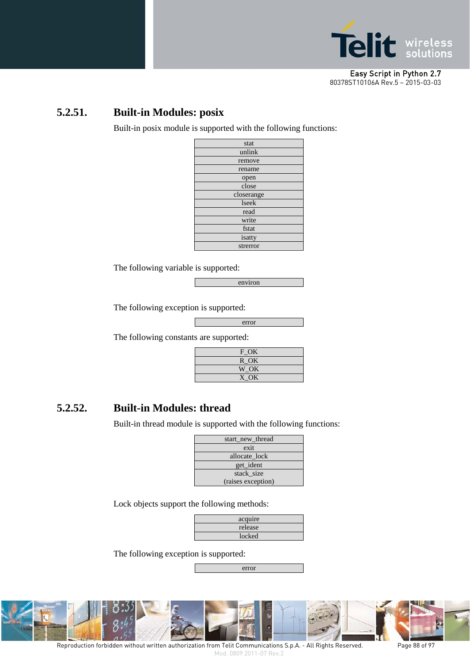

#### **5.2.51. Built-in Modules: posix**

Built-in posix module is supported with the following functions:

| stat       |  |  |
|------------|--|--|
| unlink     |  |  |
| remove     |  |  |
| rename     |  |  |
| open       |  |  |
| close      |  |  |
| closerange |  |  |
| lseek      |  |  |
| read       |  |  |
| write      |  |  |
| fstat      |  |  |
| isatty     |  |  |
| strerror   |  |  |

The following variable is supported:

environ

The following exception is supported:

error

The following constants are supported:

| $F_{\mathcal{O}}$ K |  |
|---------------------|--|
| R OK                |  |
| W OK                |  |
| X OK                |  |

#### **5.2.52. Built-in Modules: thread**

Built-in thread module is supported with the following functions:

| start_new_thread   |  |  |
|--------------------|--|--|
| exit               |  |  |
| allocate lock      |  |  |
| get_ident          |  |  |
| stack_size         |  |  |
| (raises exception) |  |  |

Lock objects support the following methods:

| acquire |  |
|---------|--|
| release |  |
| locked  |  |

The following exception is supported:

error



Reproduction forbidden without written authorization from Telit Communications S.p.A. - All Rights Reserved. Page 88 of 97 Mod. 0809 2011-07 Rev.2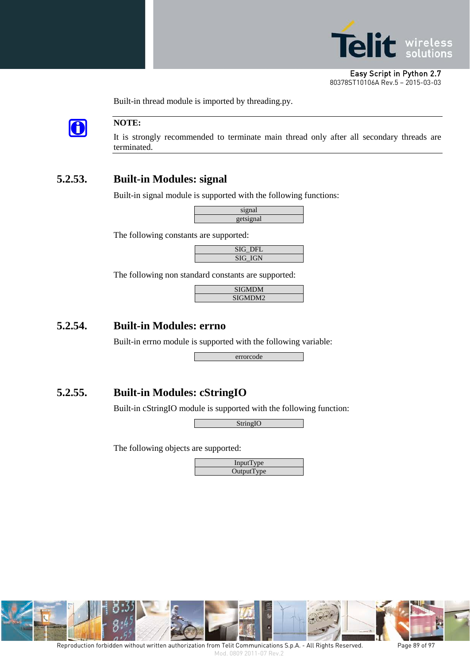

 $\bigodot$ 

#### **NOTE:**

It is strongly recommended to terminate main thread only after all secondary threads are terminated.

## **5.2.53. Built-in Modules: signal**

Built-in signal module is supported with the following functions:

| signal            |  |
|-------------------|--|
| getsignal<br>$-1$ |  |

The following constants are supported:

| SIG DFL        |  |
|----------------|--|
| <b>SIG IGN</b> |  |

The following non standard constants are supported:

Built-in thread module is imported by threading.py.

| <b>SIGMDM</b> |  |
|---------------|--|
| SIGMDM2       |  |
|               |  |

#### **5.2.54. Built-in Modules: errno**

Built-in errno module is supported with the following variable:

errorcode

#### **5.2.55. Built-in Modules: cStringIO**

Built-in cStringIO module is supported with the following function:

StringIO

The following objects are supported:



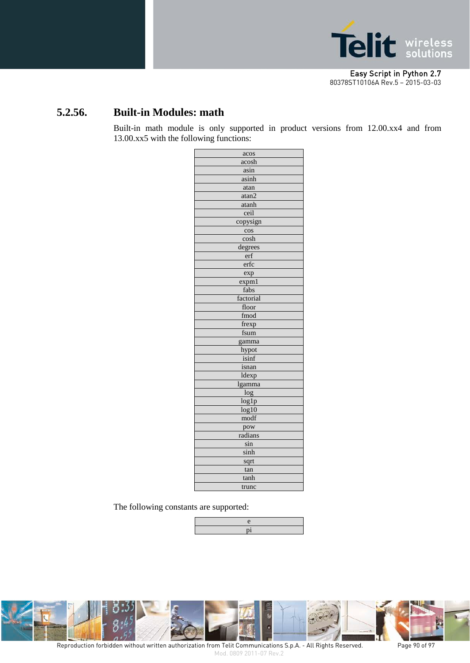

## **5.2.56. Built-in Modules: math**

Built-in math module is only supported in product versions from 12.00.xx4 and from 13.00.xx5 with the following functions:

| acos      |  |  |  |
|-----------|--|--|--|
| acosh     |  |  |  |
| asin      |  |  |  |
| asinh     |  |  |  |
| atan      |  |  |  |
| atan2     |  |  |  |
| atanh     |  |  |  |
| ceil      |  |  |  |
| copysign  |  |  |  |
| cos       |  |  |  |
| cosh      |  |  |  |
| degrees   |  |  |  |
| erf       |  |  |  |
| erfc      |  |  |  |
| exp       |  |  |  |
| expm1     |  |  |  |
| fabs      |  |  |  |
| factorial |  |  |  |
| floor     |  |  |  |
| fmod      |  |  |  |
| frexp     |  |  |  |
| fsum      |  |  |  |
| gamma     |  |  |  |
| hypot     |  |  |  |
| isinf     |  |  |  |
| isnan     |  |  |  |
| ldexp     |  |  |  |
| lgamma    |  |  |  |
| log       |  |  |  |
| log1p     |  |  |  |
| log10     |  |  |  |
| modf      |  |  |  |
| pow       |  |  |  |
| radians   |  |  |  |
| sin       |  |  |  |
| sinh      |  |  |  |
| sqrt      |  |  |  |
| tan       |  |  |  |
| tanh      |  |  |  |
| trunc     |  |  |  |

The following constants are supported:



Reproduction forbidden without written authorization from Telit Communications S.p.A. - All Rights Reserved. Page 90 of 97 Mod. 0809 2011-07 Rev.2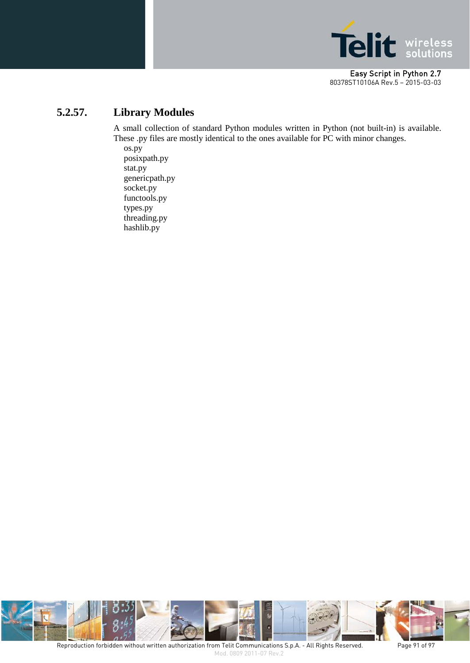

## **5.2.57. Library Modules**

A small collection of standard Python modules written in Python (not built-in) is available. These .py files are mostly identical to the ones available for PC with minor changes.

os.py posixpath.py stat.py genericpath.py socket.py functools.py types.py threading.py hashlib.py

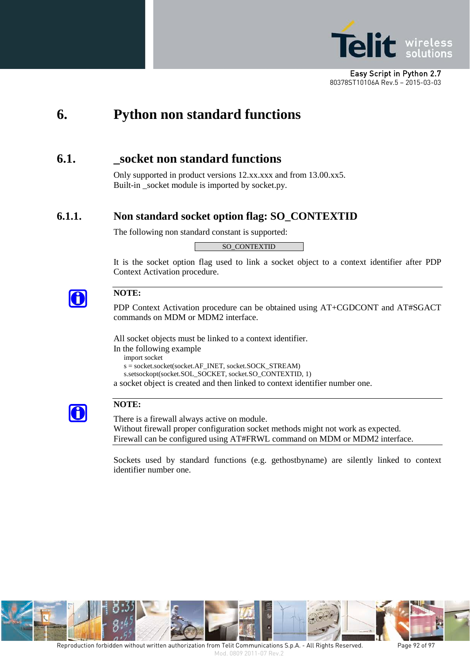

# **6. Python non standard functions**

## **6.1. \_socket non standard functions**

Only supported in product versions 12.xx.xxx and from 13.00.xx5. Built-in socket module is imported by socket.py.

#### **6.1.1. Non standard socket option flag: SO\_CONTEXTID**

The following non standard constant is supported:

SO\_CONTEXTID

It is the socket option flag used to link a socket object to a context identifier after PDP Context Activation procedure.



#### **NOTE:**

PDP Context Activation procedure can be obtained using AT+CGDCONT and AT#SGACT commands on MDM or MDM2 interface.

All socket objects must be linked to a context identifier.

In the following example

import socket

s = socket.socket(socket.AF\_INET, socket.SOCK\_STREAM)

s.setsockopt(socket.SOL\_SOCKET, socket.SO\_CONTEXTID, 1)

a socket object is created and then linked to context identifier number one.



#### **NOTE:**

There is a firewall always active on module. Without firewall proper configuration socket methods might not work as expected. Firewall can be configured using AT#FRWL command on MDM or MDM2 interface.

Sockets used by standard functions (e.g. gethostbyname) are silently linked to context identifier number one.

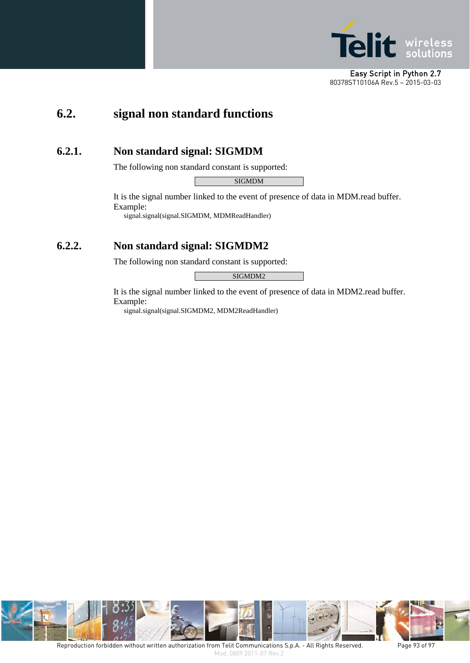

# **6.2. signal non standard functions**

#### **6.2.1. Non standard signal: SIGMDM**

The following non standard constant is supported:

SIGMDM

It is the signal number linked to the event of presence of data in MDM.read buffer. Example:

signal.signal(signal.SIGMDM, MDMReadHandler)

#### **6.2.2. Non standard signal: SIGMDM2**

The following non standard constant is supported:

SIGMDM2

It is the signal number linked to the event of presence of data in MDM2.read buffer. Example:

signal.signal(signal.SIGMDM2, MDM2ReadHandler)

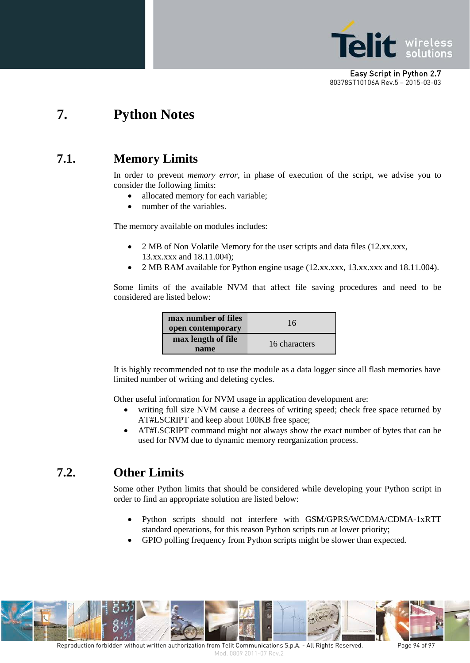

# **7. Python Notes**

# **7.1. Memory Limits**

In order to prevent *memory error,* in phase of execution of the script, we advise you to consider the following limits:

- allocated memory for each variable;
- number of the variables.

The memory available on modules includes:

- 2 MB of Non Volatile Memory for the user scripts and data files (12.xx.xxx, 13.xx.xxx and 18.11.004);
- 2 MB RAM available for Python engine usage (12.xx.xxx, 13.xx.xxx and 18.11.004).

Some limits of the available NVM that affect file saving procedures and need to be considered are listed below:

| max number of files<br>open contemporary | 16            |
|------------------------------------------|---------------|
| max length of file<br>name               | 16 characters |

It is highly recommended not to use the module as a data logger since all flash memories have limited number of writing and deleting cycles.

Other useful information for NVM usage in application development are:

- writing full size NVM cause a decrees of writing speed; check free space returned by AT#LSCRIPT and keep about 100KB free space;
- AT#LSCRIPT command might not always show the exact number of bytes that can be used for NVM due to dynamic memory reorganization process.

# **7.2. Other Limits**

Some other Python limits that should be considered while developing your Python script in order to find an appropriate solution are listed below:

- Python scripts should not interfere with GSM/GPRS/WCDMA/CDMA-1xRTT standard operations, for this reason Python scripts run at lower priority;
- GPIO polling frequency from Python scripts might be slower than expected.

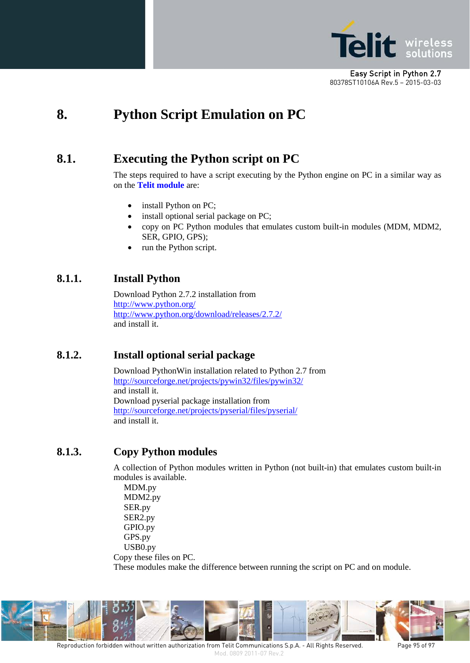

# **8. Python Script Emulation on PC**

# **8.1. Executing the Python script on PC**

The steps required to have a script executing by the Python engine on PC in a similar way as on the **Telit module** are:

- install Python on PC;
- install optional serial package on PC;
- copy on PC Python modules that emulates custom built-in modules (MDM, MDM2, SER, GPIO, GPS);
- run the Python script.

#### **8.1.1. Install Python**

Download Python 2.7.2 installation from <http://www.python.org/> <http://www.python.org/download/releases/2.7.2/> and install it.

#### **8.1.2. Install optional serial package**

Download PythonWin installation related to Python 2.7 from <http://sourceforge.net/projects/pywin32/files/pywin32/> and install it. Download pyserial package installation from <http://sourceforge.net/projects/pyserial/files/pyserial/> and install it.

#### **8.1.3. Copy Python modules**

A collection of Python modules written in Python (not built-in) that emulates custom built-in modules is available.

MDM.py MDM2.py SER.py SER2.py GPIO.py GPS.py USB0.py Copy these files on PC. These modules make the difference between running the script on PC and on module.

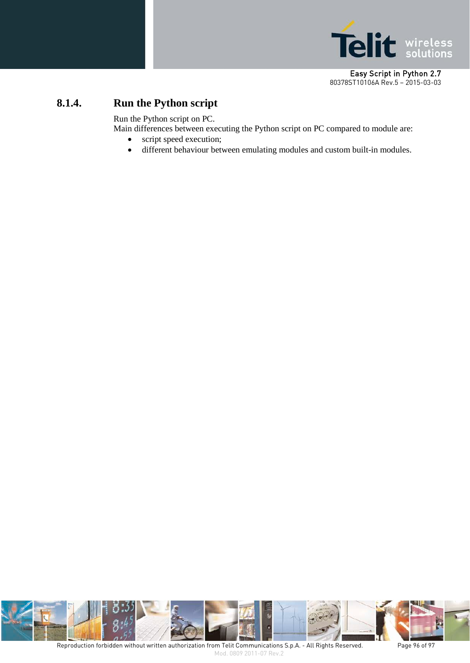

## **8.1.4. Run the Python script**

Run the Python script on PC.

Main differences between executing the Python script on PC compared to module are:

- script speed execution;
- different behaviour between emulating modules and custom built-in modules.